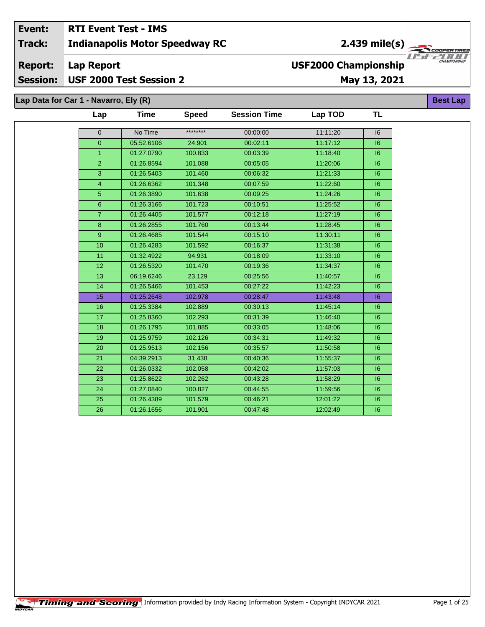#### Event: **RTI Event Test - IMS** 2.439 mile(s) **Indianapolis Motor Speedway RC Track: Report: Lap Report USF2000 Championship**

# Session: USF 2000 Test Session 2

## May 13, 2021

Lap Data for Car 1 - Navarro, Ely (R)

| Lap             | <b>Time</b> | <b>Speed</b> | <b>Session Time</b> | Lap TOD  | TL |
|-----------------|-------------|--------------|---------------------|----------|----|
| $\mathbf 0$     | No Time     | ********     | 00:00:00            | 11:11:20 | 6  |
| $\mathbf 0$     | 05:52.6106  | 24.901       | 00:02:11            | 11:17:12 | 6  |
| $\overline{1}$  | 01:27.0790  | 100.833      | 00:03:39            | 11:18:40 | 6  |
| $\overline{2}$  | 01:26.8594  | 101.088      | 00:05:05            | 11:20:06 | 16 |
| 3               | 01:26.5403  | 101.460      | 00:06:32            | 11:21:33 | 6  |
| $\overline{4}$  | 01:26.6362  | 101.348      | 00:07:59            | 11:22:60 | 16 |
| $\overline{5}$  | 01:26.3890  | 101.638      | 00:09:25            | 11:24:26 | 6  |
| $\overline{6}$  | 01:26.3166  | 101.723      | 00:10:51            | 11:25:52 | 6  |
| $\overline{7}$  | 01:26.4405  | 101.577      | 00:12:18            | 11:27:19 | 16 |
| $\overline{8}$  | 01:26.2855  | 101.760      | 00:13:44            | 11:28:45 | 6  |
| 9               | 01:26.4685  | 101.544      | 00:15:10            | 11:30:11 | 6  |
| 10              | 01:26.4283  | 101.592      | 00:16:37            | 11:31:38 | 6  |
| 11              | 01:32.4922  | 94.931       | 00:18:09            | 11:33:10 | 16 |
| 12              | 01:26.5320  | 101.470      | 00:19:36            | 11:34:37 | 6  |
| 13              | 06:19.6246  | 23.129       | 00:25:56            | 11:40:57 | 6  |
| 14              | 01:26.5466  | 101.453      | 00:27:22            | 11:42:23 | 6  |
| 15              | 01:25.2648  | 102.978      | 00:28:47            | 11:43:48 | 6  |
| 16              | 01:25.3384  | 102.889      | 00:30:13            | 11:45:14 | 16 |
| 17              | 01:25.8360  | 102.293      | 00:31:39            | 11:46:40 | 6  |
| 18              | 01:26.1795  | 101.885      | 00:33:05            | 11:48:06 | 6  |
| 19              | 01:25.9759  | 102.126      | 00:34:31            | 11:49:32 | 16 |
| 20              | 01:25.9513  | 102.156      | 00:35:57            | 11:50:58 | 6  |
| 21              | 04:39.2913  | 31.438       | 00:40:36            | 11:55:37 | 6  |
| 22              | 01:26.0332  | 102.058      | 00:42:02            | 11:57:03 | 6  |
| 23              | 01:25.8622  | 102.262      | 00:43:28            | 11:58:29 | 6  |
| $\overline{24}$ | 01:27.0840  | 100.827      | 00:44:55            | 11:59:56 | 6  |
| 25              | 01:26.4389  | 101.579      | 00:46:21            | 12:01:22 | 16 |
| 26              | 01:26.1656  | 101.901      | 00:47:48            | 12:02:49 | 6  |
|                 |             |              |                     |          |    |

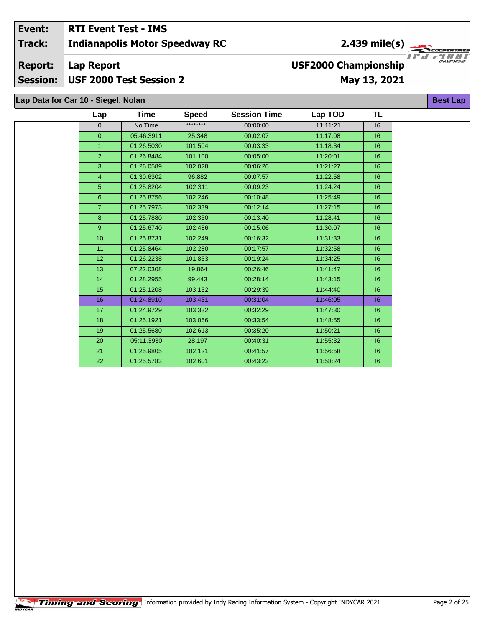#### Event: **RTI Event Test - IMS** 2.439 mile(s) Track: **Indianapolis Motor Speedway RC Report: USF2000 Championship Lap Report Session:** USF 2000 Test Session 2 May 13, 2021

## Lap Data for Car 10 - Siegel, Nolan

| Lap             | <b>Time</b> | <b>Speed</b> | <b>Session Time</b> | Lap TOD  | <b>TL</b> |
|-----------------|-------------|--------------|---------------------|----------|-----------|
| $\mathbf{0}$    | No Time     | ********     | 00:00:00            | 11:11:21 | 6         |
| $\overline{0}$  | 05:46.3911  | 25.348       | 00:02:07            | 11:17:08 | 6         |
| $\mathbf{1}$    | 01:26.5030  | 101.504      | 00:03:33            | 11:18:34 | 6         |
| $\overline{2}$  | 01:26.8484  | 101.100      | 00:05:00            | 11:20:01 | 6         |
| 3               | 01:26.0589  | 102.028      | 00:06:26            | 11:21:27 | 6         |
| $\overline{4}$  | 01:30.6302  | 96.882       | 00:07:57            | 11:22:58 | 6         |
| 5               | 01:25.8204  | 102.311      | 00:09:23            | 11:24:24 | 6         |
| $6\overline{6}$ | 01:25.8756  | 102.246      | 00:10:48            | 11:25:49 | 6         |
| $\overline{7}$  | 01:25.7973  | 102.339      | 00:12:14            | 11:27:15 | 6         |
| 8               | 01:25.7880  | 102.350      | 00:13:40            | 11:28:41 | 6         |
| 9               | 01:25.6740  | 102.486      | 00:15:06            | 11:30:07 | 6         |
| 10 <sub>1</sub> | 01:25.8731  | 102.249      | 00:16:32            | 11:31:33 | 6         |
| 11              | 01:25.8464  | 102.280      | 00:17:57            | 11:32:58 | 6         |
| 12 <sup>°</sup> | 01:26.2238  | 101.833      | 00:19:24            | 11:34:25 | 6         |
| 13              | 07:22.0308  | 19.864       | 00:26:46            | 11:41:47 | 16        |
| 14              | 01:28.2955  | 99.443       | 00:28:14            | 11:43:15 | 6         |
| 15              | 01:25.1208  | 103.152      | 00:29:39            | 11:44:40 | 6         |
| 16              | 01:24.8910  | 103.431      | 00:31:04            | 11:46:05 | 6         |
| 17              | 01:24.9729  | 103.332      | 00:32:29            | 11:47:30 | 6         |
| 18              | 01:25.1921  | 103.066      | 00:33:54            | 11:48:55 | 6         |
| 19              | 01:25.5680  | 102.613      | 00:35:20            | 11:50:21 | 6         |
| 20              | 05:11.3930  | 28.197       | 00:40:31            | 11:55:32 | 6         |
| 21              | 01:25.9805  | 102.121      | 00:41:57            | 11:56:58 | 6         |
| 22              | 01:25.5783  | 102.601      | 00:43:23            | 11:58:24 | 6         |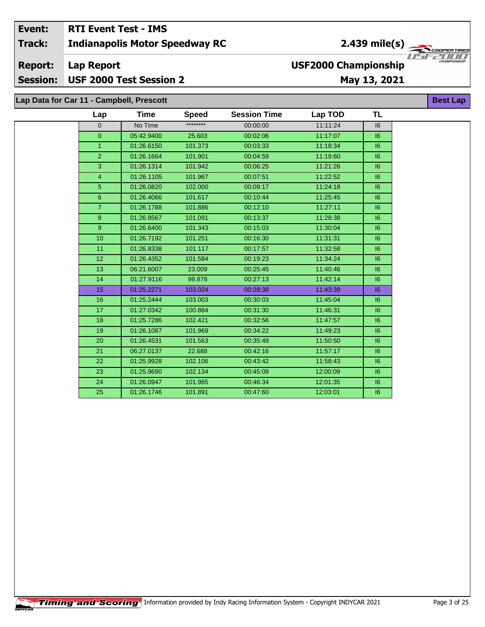#### Event: **RTI Event Test - IMS**  $2.439$  mile(s) **Indianapolis Motor Speedway RC Track:** ER TIR USFZUU **Report: Lap Report USF2000 Championship** USF 2000 Test Session 2 **Session:** May 13, 2021 Lap Data for Car 11 - Campbell, Prescott **Best Lap**

| Lap             | <b>Time</b> | <b>Speed</b> | <b>Session Time</b> | Lap TOD  | <b>TL</b> |
|-----------------|-------------|--------------|---------------------|----------|-----------|
| 0               | No Time     | ********     | 00:00:00            | 11:11:24 | 16        |
| $\overline{0}$  | 05:42.9400  | 25.603       | 00:02:06            | 11:17:07 | 6         |
| $\mathbf{1}$    | 01:26.6150  | 101.373      | 00:03:33            | 11:18:34 | 6         |
| $\overline{2}$  | 01:26.1664  | 101.901      | 00:04:59            | 11:19:60 | 6         |
| 3               | 01:26.1314  | 101.942      | 00:06:25            | 11:21:26 | 16        |
| 4               | 01:26.1105  | 101.967      | 00:07:51            | 11:22:52 | 16        |
| 5               | 01:26.0820  | 102.000      | 00:09:17            | 11:24:18 | 6         |
| $6\phantom{1}$  | 01:26.4066  | 101.617      | 00:10:44            | 11:25:45 | 6         |
| $\overline{7}$  | 01:26.1788  | 101.886      | 00:12:10            | 11:27:11 | 16        |
| 8               | 01:26.8567  | 101.091      | 00:13:37            | 11:28:38 | 6         |
| 9               | 01:26.6400  | 101.343      | 00:15:03            | 11:30:04 | 6         |
| 10              | 01:26.7192  | 101.251      | 00:16:30            | 11:31:31 | 6         |
| 11              | 01:26.8338  | 101.117      | 00:17:57            | 11:32:58 | 6         |
| 12 <sup>°</sup> | 01:26.4352  | 101.584      | 00:19:23            | 11:34:24 | 6         |
| 13              | 06:21.6007  | 23.009       | 00:25:45            | 11:40:46 | 16        |
| 14              | 01:27.9116  | 99.878       | 00:27:13            | 11:42:14 | 6         |
| 15              | 01:25.2271  | 103.024      | 00:28:38            | 11:43:39 | 6         |
| 16              | 01:25.2444  | 103.003      | 00:30:03            | 11:45:04 | 6         |
| 17              | 01:27.0342  | 100.884      | 00:31:30            | 11:46:31 | 6         |
| 18              | 01:25.7286  | 102.421      | 00:32:56            | 11:47:57 | 6         |
| 19              | 01:26.1087  | 101.969      | 00:34:22            | 11:49:23 | 6         |
| 20              | 01:26.4531  | 101.563      | 00:35:49            | 11:50:50 | 16        |
| 21              | 06:27.0137  | 22.688       | 00:42:16            | 11:57:17 | 16        |
| 22              | 01:25.9928  | 102.106      | 00:43:42            | 11:58:43 | 6         |
| 23              | 01:25.9690  | 102.134      | 00:45:08            | 12:00:09 | 6         |
| 24              | 01:26.0947  | 101.985      | 00:46:34            | 12:01:35 | 16        |
| 25              | 01:26.1746  | 101.891      | 00:47:60            | 12:03:01 | 6         |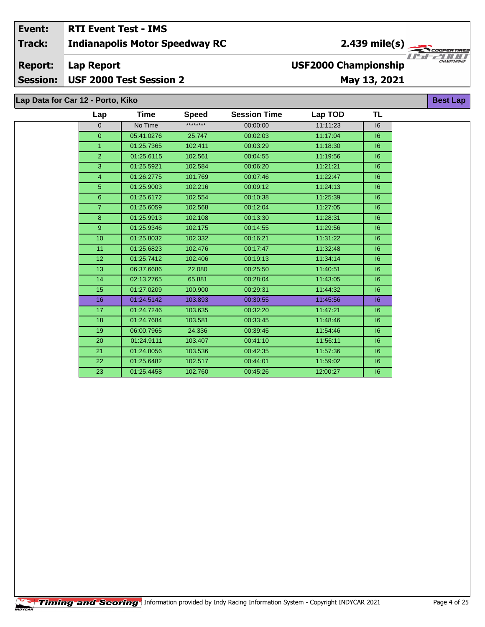#### Event: **RTI Event Test - IMS Indianapolis Motor Speedway RC Track: Report: Lap Report USF2000 Championship**

#### **Session:** USF 2000 Test Session 2

## May 13, 2021

Lap Data for Car 12 - Porto, Kiko

| Lap              | Time       | <b>Speed</b> | <b>Session Time</b> | Lap TOD  | <b>TL</b> |  |
|------------------|------------|--------------|---------------------|----------|-----------|--|
| $\overline{0}$   | No Time    | ********     | 00:00:00            | 11:11:23 | 6         |  |
| $\overline{0}$   | 05:41.0276 | 25.747       | 00:02:03            | 11:17:04 | 6         |  |
| $\overline{1}$   | 01:25.7365 | 102.411      | 00:03:29            | 11:18:30 | 6         |  |
| $\overline{2}$   | 01:25.6115 | 102.561      | 00:04:55            | 11:19:56 | 16        |  |
| 3                | 01:25.5921 | 102.584      | 00:06:20            | 11:21:21 | 6         |  |
| 4                | 01:26.2775 | 101.769      | 00:07:46            | 11:22:47 | 6         |  |
| 5                | 01:25.9003 | 102.216      | 00:09:12            | 11:24:13 | 6         |  |
| $6\overline{6}$  | 01:25.6172 | 102.554      | 00:10:38            | 11:25:39 | 6         |  |
| $\overline{7}$   | 01:25.6059 | 102.568      | 00:12:04            | 11:27:05 | 6         |  |
| 8                | 01:25.9913 | 102.108      | 00:13:30            | 11:28:31 | 6         |  |
| $\boldsymbol{9}$ | 01:25.9346 | 102.175      | 00:14:55            | 11:29:56 | 6         |  |
| 10 <sup>10</sup> | 01:25.8032 | 102.332      | 00:16:21            | 11:31:22 | 6         |  |
| 11               | 01:25.6823 | 102.476      | 00:17:47            | 11:32:48 | 6         |  |
| 12 <sup>2</sup>  | 01:25.7412 | 102.406      | 00:19:13            | 11:34:14 | 6         |  |
| 13               | 06:37.6686 | 22.080       | 00:25:50            | 11:40:51 | 6         |  |
| 14               | 02:13.2765 | 65.881       | 00:28:04            | 11:43:05 | 6         |  |
| 15               | 01:27.0209 | 100.900      | 00:29:31            | 11:44:32 | 6         |  |
| 16               | 01:24.5142 | 103.893      | 00:30:55            | 11:45:56 | 6         |  |
| 17               | 01:24.7246 | 103.635      | 00:32:20            | 11:47:21 | 6         |  |
| 18               | 01:24.7684 | 103.581      | 00:33:45            | 11:48:46 | 6         |  |
| 19               | 06:00.7965 | 24.336       | 00:39:45            | 11:54:46 | 6         |  |
| 20               | 01:24.9111 | 103.407      | 00:41:10            | 11:56:11 | 6         |  |
| 21               | 01:24.8056 | 103.536      | 00:42:35            | 11:57:36 | 6         |  |
| 22               | 01:25.6482 | 102.517      | 00:44:01            | 11:59:02 | 6         |  |
| 23               | 01:25.4458 | 102.760      | 00:45:26            | 12:00:27 | 16        |  |

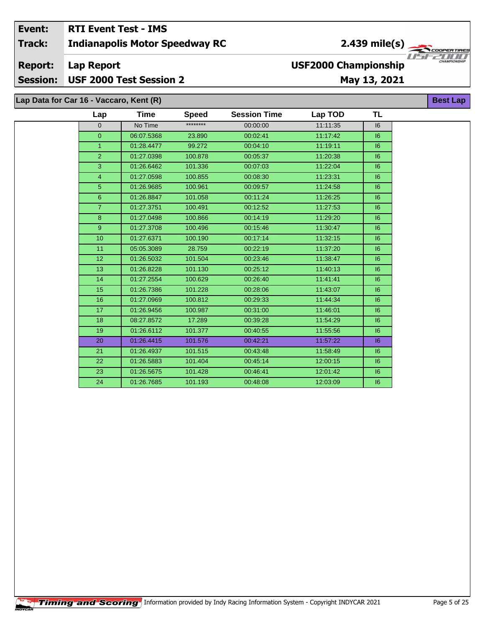#### Event: **RTI Event Test - IMS** 2.439 mile(s) **Track: Indianapolis Motor Speedway RC** USFZULL **USF2000 Championship Report: Lap Report** USF 2000 Test Session 2 **Session:** May 13, 2021

| Lap Data for Car 16 - Vaccaro, Kent (R)<br><b>Best Lap</b> |                 |             |              |                     |          |           |  |  |  |  |
|------------------------------------------------------------|-----------------|-------------|--------------|---------------------|----------|-----------|--|--|--|--|
|                                                            | Lap             | <b>Time</b> | <b>Speed</b> | <b>Session Time</b> | Lap TOD  | <b>TL</b> |  |  |  |  |
|                                                            | 0               | No Time     | ********     | 00:00:00            | 11:11:35 | 16        |  |  |  |  |
|                                                            | $\overline{0}$  | 06:07.5368  | 23.890       | 00:02:41            | 11:17:42 | 16        |  |  |  |  |
|                                                            | $\mathbf{1}$    | 01:28.4477  | 99.272       | 00:04:10            | 11:19:11 | 16        |  |  |  |  |
|                                                            | $\overline{2}$  | 01:27.0398  | 100.878      | 00:05:37            | 11:20:38 | 6         |  |  |  |  |
|                                                            | 3               | 01:26.6462  | 101.336      | 00:07:03            | 11:22:04 | 16        |  |  |  |  |
|                                                            | 4               | 01:27.0598  | 100.855      | 00:08:30            | 11:23:31 | 16        |  |  |  |  |
|                                                            | 5 <sup>5</sup>  | 01:26.9685  | 100.961      | 00:09:57            | 11:24:58 | 16        |  |  |  |  |
|                                                            | 6 <sup>1</sup>  | 01:26.8847  | 101.058      | 00:11:24            | 11:26:25 | 16        |  |  |  |  |
|                                                            | $\overline{7}$  | 01:27.3751  | 100.491      | 00:12:52            | 11:27:53 | 16        |  |  |  |  |
|                                                            | 8               | 01:27.0498  | 100.866      | 00:14:19            | 11:29:20 | 16        |  |  |  |  |
|                                                            | 9               | 01:27.3708  | 100.496      | 00:15:46            | 11:30:47 | 16        |  |  |  |  |
|                                                            | 10 <sup>1</sup> | 01:27.6371  | 100.190      | 00:17:14            | 11:32:15 | 16        |  |  |  |  |
|                                                            | 11              | 05:05.3089  | 28.759       | 00:22:19            | 11:37:20 | 16        |  |  |  |  |
|                                                            | 12              | 01:26.5032  | 101.504      | 00:23:46            | 11:38:47 | 16        |  |  |  |  |
|                                                            | 13              | 01:26.8228  | 101.130      | 00:25:12            | 11:40:13 | 16        |  |  |  |  |
|                                                            | 14              | 01:27.2554  | 100.629      | 00:26:40            | 11:41:41 | 6         |  |  |  |  |
|                                                            | 15              | 01:26.7386  | 101.228      | 00:28:06            | 11:43:07 | 6         |  |  |  |  |
|                                                            | 16              | 01:27.0969  | 100.812      | 00:29:33            | 11:44:34 | 16        |  |  |  |  |
|                                                            | 17              | 01:26.9456  | 100.987      | 00:31:00            | 11:46:01 | 6         |  |  |  |  |
|                                                            | 18              | 08:27.8572  | 17.289       | 00:39:28            | 11:54:29 | 16        |  |  |  |  |
|                                                            | 19              | 01:26.6112  | 101.377      | 00:40:55            | 11:55:56 | 16        |  |  |  |  |
|                                                            | 20              | 01:26.4415  | 101.576      | 00:42:21            | 11:57:22 | 16        |  |  |  |  |
|                                                            | 21              | 01:26.4937  | 101.515      | 00:43:48            | 11:58:49 | 16        |  |  |  |  |
|                                                            | 22              | 01:26.5883  | 101.404      | 00:45:14            | 12:00:15 | 16        |  |  |  |  |
|                                                            | 23              | 01:26.5675  | 101.428      | 00:46:41            | 12:01:42 | 6         |  |  |  |  |
|                                                            | 24              | 01:26.7685  | 101.193      | 00:48:08            | 12:03:09 | 16        |  |  |  |  |

ER TIR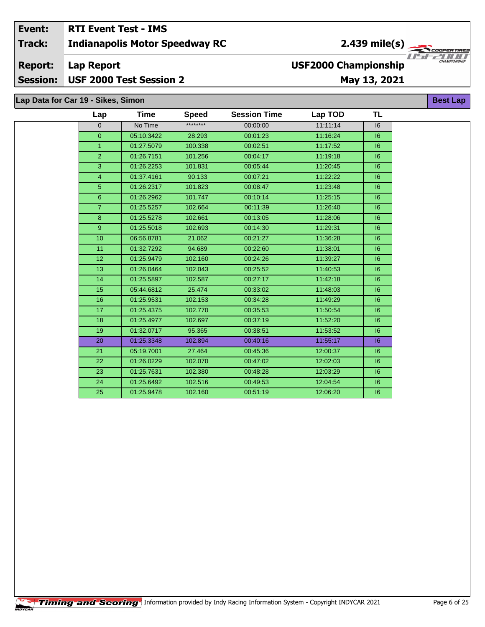#### Event: **RTI Event Test - IMS** 2.439 mile(s) **Track: Indianapolis Motor Speedway RC Report: Lap Report USF2000 Championship Session:** USF 2000 Test Session 2 May 13, 2021

## Lap Data for Car 19 - Sikes, Simon

| Lap              | <b>Time</b> | <b>Speed</b> | <b>Session Time</b> | Lap TOD  | <b>TL</b> |
|------------------|-------------|--------------|---------------------|----------|-----------|
| $\Omega$         | No Time     | ********     | 00:00:00            | 11:11:14 | 16        |
| $\overline{0}$   | 05:10.3422  | 28.293       | 00:01:23            | 11:16:24 | 6         |
| $\mathbf{1}$     | 01:27.5079  | 100.338      | 00:02:51            | 11:17:52 | 6         |
| $\overline{2}$   | 01:26.7151  | 101.256      | 00:04:17            | 11:19:18 | 16        |
| 3                | 01:26.2253  | 101.831      | 00:05:44            | 11:20:45 | 6         |
| 4                | 01:37.4161  | 90.133       | 00:07:21            | 11:22:22 | 16        |
| 5                | 01:26.2317  | 101.823      | 00:08:47            | 11:23:48 | 6         |
| $6\phantom{a}$   | 01:26.2962  | 101.747      | 00:10:14            | 11:25:15 | 6         |
| $\overline{7}$   | 01:25.5257  | 102.664      | 00:11:39            | 11:26:40 | 6         |
| 8                | 01:25.5278  | 102.661      | 00:13:05            | 11:28:06 | 16        |
| 9                | 01:25.5018  | 102.693      | 00:14:30            | 11:29:31 | 6         |
| 10               | 06:56.8781  | 21.062       | 00:21:27            | 11:36:28 | 16        |
| 11               | 01:32.7292  | 94.689       | 00:22:60            | 11:38:01 | 16        |
| 12 <sup>2</sup>  | 01:25.9479  | 102.160      | 00:24:26            | 11:39:27 | 6         |
| 13               | 01:26.0464  | 102.043      | 00:25:52            | 11:40:53 | 16        |
| 14               | 01:25.5897  | 102.587      | 00:27:17            | 11:42:18 | 16        |
| 15 <sub>15</sub> | 05:44.6812  | 25.474       | 00:33:02            | 11:48:03 | 6         |
| 16               | 01:25.9531  | 102.153      | 00:34:28            | 11:49:29 | 6         |
| 17 <sub>2</sub>  | 01:25.4375  | 102.770      | 00:35:53            | 11:50:54 | 16        |
| 18               | 01:25.4977  | 102.697      | 00:37:19            | 11:52:20 | 6         |
| 19               | 01:32.0717  | 95.365       | 00:38:51            | 11:53:52 | 16        |
| 20               | 01:25.3348  | 102.894      | 00:40:16            | 11:55:17 | 16        |
| 21               | 05:19.7001  | 27.464       | 00:45:36            | 12:00:37 | 6         |
| 22               | 01:26.0229  | 102.070      | 00:47:02            | 12:02:03 | 6         |
| 23               | 01:25.7631  | 102.380      | 00:48:28            | 12:03:29 | 16        |
| 24               | 01:25.6492  | 102.516      | 00:49:53            | 12:04:54 | 16        |
| 25               | 01:25.9478  | 102.160      | 00:51:19            | 12:06:20 | 6         |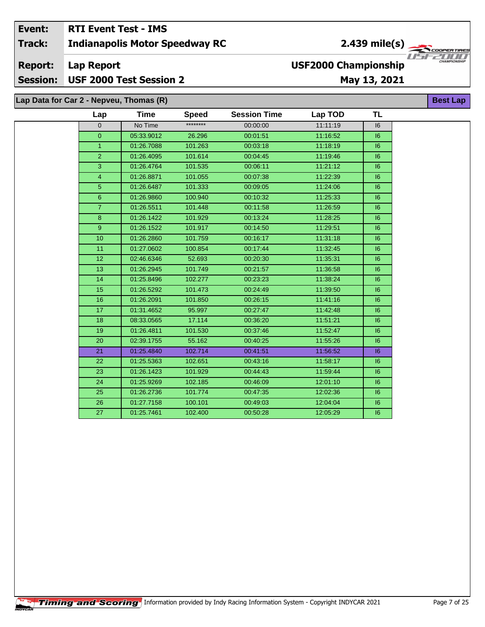#### Event: **RTI Event Test - IMS** 2.439 mile(s) **Track: Indianapolis Motor Speedway RC** ER TIR USFZULL **Report: Lap Report USF2000 Championship** USF 2000 Test Session 2 **Session:** May 13, 2021 Lap Data for Car 2 - Nepveu, Thomas (R) **Best Lap**

| Lap             | <b>Time</b> | <b>Speed</b> | <b>Session Time</b> | Lap TOD  | <b>TL</b> |
|-----------------|-------------|--------------|---------------------|----------|-----------|
| $\Omega$        | No Time     | ********     | 00:00:00            | 11:11:19 | 16        |
| $\overline{0}$  | 05:33.9012  | 26.296       | 00:01:51            | 11:16:52 | 6         |
| $\mathbf{1}$    | 01:26.7088  | 101.263      | 00:03:18            | 11:18:19 | 6         |
| $\overline{2}$  | 01:26.4095  | 101.614      | 00:04:45            | 11:19:46 | 16        |
| 3               | 01:26.4764  | 101.535      | 00:06:11            | 11:21:12 | 6         |
| $\overline{4}$  | 01:26.8871  | 101.055      | 00:07:38            | 11:22:39 | 6         |
| 5               | 01:26.6487  | 101.333      | 00:09:05            | 11:24:06 | 16        |
| 6               | 01:26.9860  | 100.940      | 00:10:32            | 11:25:33 | 6         |
| $\overline{7}$  | 01:26.5511  | 101.448      | 00:11:58            | 11:26:59 | 16        |
| 8               | 01:26.1422  | 101.929      | 00:13:24            | 11:28:25 | 6         |
| 9               | 01:26.1522  | 101.917      | 00:14:50            | 11:29:51 | 16        |
| 10              | 01:26.2860  | 101.759      | 00:16:17            | 11:31:18 | 6         |
| 11              | 01:27.0602  | 100.854      | 00:17:44            | 11:32:45 | 6         |
| 12              | 02:46.6346  | 52.693       | 00:20:30            | 11:35:31 | 6         |
| 13              | 01:26.2945  | 101.749      | 00:21:57            | 11:36:58 | 6         |
| 14              | 01:25.8496  | 102.277      | 00:23:23            | 11:38:24 | 6         |
| 15              | 01:26.5292  | 101.473      | 00:24:49            | 11:39:50 | 6         |
| 16              | 01:26.2091  | 101.850      | 00:26:15            | 11:41:16 | 16        |
| 17 <sup>2</sup> | 01:31.4652  | 95.997       | 00:27:47            | 11:42:48 | 6         |
| 18              | 08:33.0565  | 17.114       | 00:36:20            | 11:51:21 | 16        |
| 19              | 01:26.4811  | 101.530      | 00:37:46            | 11:52:47 | 6         |
| 20              | 02:39.1755  | 55.162       | 00:40:25            | 11:55:26 | 6         |
| 21              | 01:25.4840  | 102.714      | 00:41:51            | 11:56:52 | 6         |
| 22              | 01:25.5363  | 102.651      | 00:43:16            | 11:58:17 | 6         |
| 23              | 01:26.1423  | 101.929      | 00:44:43            | 11:59:44 | 6         |
| 24              | 01:25.9269  | 102.185      | 00:46:09            | 12:01:10 | 6         |
| 25              | 01:26.2736  | 101.774      | 00:47:35            | 12:02:36 | 16        |
| 26              | 01:27.7158  | 100.101      | 00:49:03            | 12:04:04 | 6         |
| 27              | 01:25.7461  | 102.400      | 00:50:28            | 12:05:29 | 6         |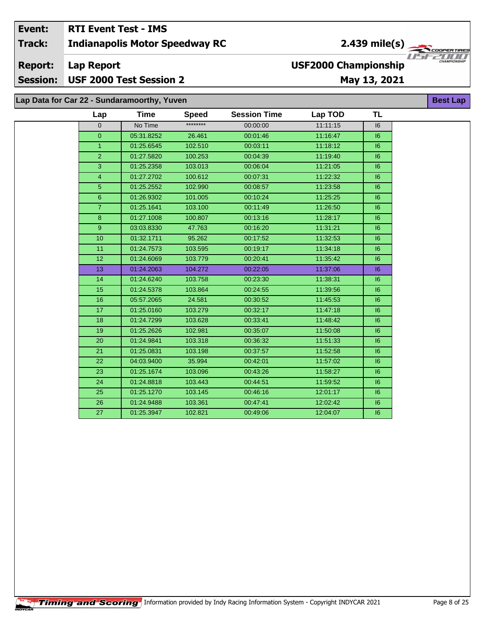#### **RTI Event Test - IMS** Event: 2.439 mile(s) **Indianapolis Motor Speedway RC Track: Report: Lap Report USF2000 Championship Session:** USF 2000 Test Session 2 May 13, 2021 Lap Data for Car 22 - Sundaramoorthy, Yuven **Best Lap**

| Lap            | <b>Time</b> | <b>Speed</b> | <b>Session Time</b> | Lap TOD  | TL |
|----------------|-------------|--------------|---------------------|----------|----|
| $\mathbf 0$    | No Time     | ********     | 00:00:00            | 11:11:15 | 16 |
| $\overline{0}$ | 05:31.8252  | 26.461       | 00:01:46            | 11:16:47 | 16 |
| $\mathbf{1}$   | 01:25.6545  | 102.510      | 00:03:11            | 11:18:12 | 6  |
| $\overline{2}$ | 01:27.5820  | 100.253      | 00:04:39            | 11:19:40 | 6  |
| 3              | 01:25.2358  | 103.013      | 00:06:04            | 11:21:05 | 16 |
| 4              | 01:27.2702  | 100.612      | 00:07:31            | 11:22:32 | 16 |
| 5 <sup>5</sup> | 01:25.2552  | 102.990      | 00:08:57            | 11:23:58 | 6  |
| $6\phantom{1}$ | 01:26.9302  | 101.005      | 00:10:24            | 11:25:25 | 6  |
| $\overline{7}$ | 01:25.1641  | 103.100      | 00:11:49            | 11:26:50 | 6  |
| 8              | 01:27.1008  | 100.807      | 00:13:16            | 11:28:17 | 6  |
| 9              | 03:03.8330  | 47.763       | 00:16:20            | 11:31:21 | 16 |
| 10             | 01:32.1711  | 95.262       | 00:17:52            | 11:32:53 | 6  |
| 11             | 01:24.7573  | 103.595      | 00:19:17            | 11:34:18 | 16 |
| 12             | 01:24.6069  | 103.779      | 00:20:41            | 11:35:42 | 6  |
| 13             | 01:24.2063  | 104.272      | 00:22:05            | 11:37:06 | 16 |
| 14             | 01:24.6240  | 103.758      | 00:23:30            | 11:38:31 | 6  |
| 15             | 01:24.5378  | 103.864      | 00:24:55            | 11:39:56 | 16 |
| 16             | 05:57.2065  | 24.581       | 00:30:52            | 11:45:53 | 6  |
| 17             | 01:25.0160  | 103.279      | 00:32:17            | 11:47:18 | 6  |
| 18             | 01:24.7299  | 103.628      | 00:33:41            | 11:48:42 | 6  |
| 19             | 01:25.2626  | 102.981      | 00:35:07            | 11:50:08 | 6  |
| 20             | 01:24.9841  | 103.318      | 00:36:32            | 11:51:33 | 6  |
| 21             | 01:25.0831  | 103.198      | 00:37:57            | 11:52:58 | 6  |
| 22             | 04:03.9400  | 35.994       | 00:42:01            | 11:57:02 | 16 |
| 23             | 01:25.1674  | 103.096      | 00:43:26            | 11:58:27 | 16 |
| 24             | 01:24.8818  | 103.443      | 00:44:51            | 11:59:52 | 6  |
| 25             | 01:25.1270  | 103.145      | 00:46:16            | 12:01:17 | 6  |
| 26             | 01:24.9488  | 103.361      | 00:47:41            | 12:02:42 | 6  |
| 27             | 01:25.3947  | 102.821      | 00:49:06            | 12:04:07 | 6  |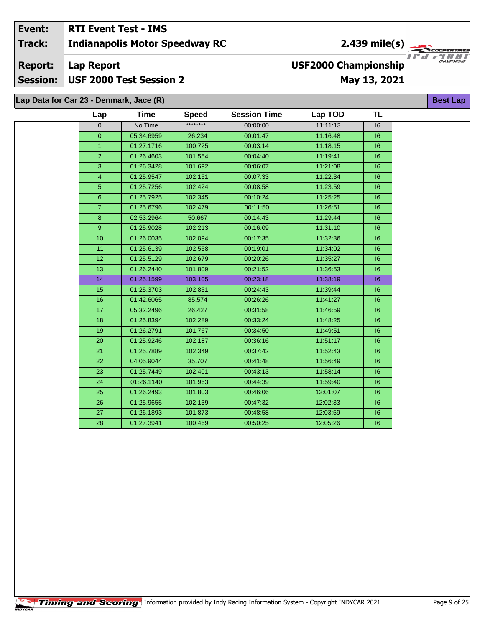#### Event: **RTI Event Test - IMS** 2.439 mile(s) **Indianapolis Motor Speedway RC Track:** USFZULL **USF2000 Championship Report: Lap Report** USF 2000 Test Session 2 **Session:** May 13, 2021

Lap Data for Car 23 - Denmark, Jace (R)

| Lap             | Time       | <b>Speed</b> | <b>Session Time</b> | Lap TOD  | <b>TL</b> |
|-----------------|------------|--------------|---------------------|----------|-----------|
| $\Omega$        | No Time    | ********     | 00:00:00            | 11:11:13 | 16        |
| $\overline{0}$  | 05:34.6959 | 26.234       | 00:01:47            | 11:16:48 | 16        |
| $\mathbf{1}$    | 01:27.1716 | 100.725      | 00:03:14            | 11:18:15 | 16        |
| $\overline{2}$  | 01:26.4603 | 101.554      | 00:04:40            | 11:19:41 | 6         |
| 3               | 01:26.3428 | 101.692      | 00:06:07            | 11:21:08 | 16        |
| $\overline{4}$  | 01:25.9547 | 102.151      | 00:07:33            | 11:22:34 | 16        |
| 5               | 01:25.7256 | 102.424      | 00:08:58            | 11:23:59 | 6         |
| 6               | 01:25.7925 | 102.345      | 00:10:24            | 11:25:25 | 16        |
| $\overline{7}$  | 01:25.6796 | 102.479      | 00:11:50            | 11:26:51 | 6         |
| 8               | 02:53.2964 | 50.667       | 00:14:43            | 11:29:44 | 16        |
| 9 <sup>°</sup>  | 01:25.9028 | 102.213      | 00:16:09            | 11:31:10 | 16        |
| 10              | 01:26.0035 | 102.094      | 00:17:35            | 11:32:36 | 6         |
| 11              | 01:25.6139 | 102.558      | 00:19:01            | 11:34:02 | 16        |
| 12              | 01:25.5129 | 102.679      | 00:20:26            | 11:35:27 | 16        |
| 13              | 01:26.2440 | 101.809      | 00:21:52            | 11:36:53 | 6         |
| 14              | 01:25.1599 | 103.105      | 00:23:18            | 11:38:19 | 16        |
| 15              | 01:25.3703 | 102.851      | 00:24:43            | 11:39:44 | 6         |
| 16              | 01:42.6065 | 85.574       | 00:26:26            | 11:41:27 | 16        |
| 17              | 05:32.2496 | 26.427       | 00:31:58            | 11:46:59 | 16        |
| 18              | 01:25.8394 | 102.289      | 00:33:24            | 11:48:25 | 6         |
| 19              | 01:26.2791 | 101.767      | 00:34:50            | 11:49:51 | 16        |
| 20              | 01:25.9246 | 102.187      | 00:36:16            | 11:51:17 | 16        |
| $\overline{21}$ | 01:25.7889 | 102.349      | 00:37:42            | 11:52:43 | 6         |
| 22              | 04:05.9044 | 35.707       | 00:41:48            | 11:56:49 | 16        |
| 23              | 01:25.7449 | 102.401      | 00:43:13            | 11:58:14 | 16        |
| 24              | 01:26.1140 | 101.963      | 00:44:39            | 11:59:40 | 6         |
| 25              | 01:26.2493 | 101.803      | 00:46:06            | 12:01:07 | 16        |
| $\overline{26}$ | 01:25.9655 | 102.139      | 00:47:32            | 12:02:33 | 16        |
| 27              | 01:26.1893 | 101.873      | 00:48:58            | 12:03:59 | 16        |
| 28              | 01:27.3941 | 100.469      | 00:50:25            | 12:05:26 | 16        |
|                 |            |              |                     |          |           |

'ER TIR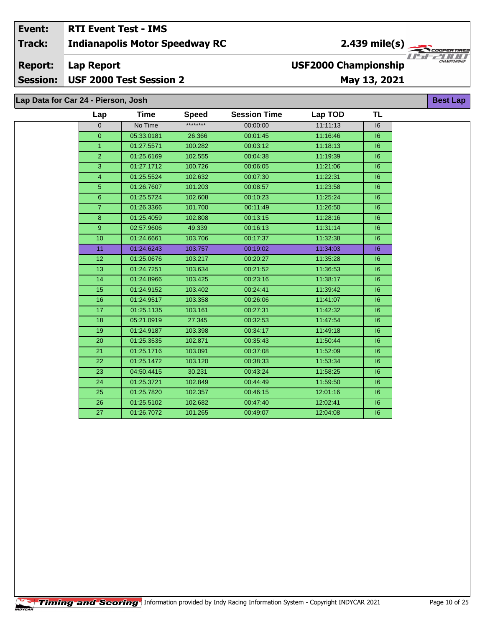#### **RTI Event Test - IMS** Event:  $2.439$  mile(s) **Indianapolis Motor Speedway RC Track: Report: Lap Report USF2000 Championship**

# Session: USF 2000 Test Session 2

May 13, 2021

| Lap Data for Car 24 - Pierson, Josh |                |            |              |                     |          |           |  |  |  |  |  |
|-------------------------------------|----------------|------------|--------------|---------------------|----------|-----------|--|--|--|--|--|
|                                     | Lap            | Time       | <b>Speed</b> | <b>Session Time</b> | Lap TOD  | <b>TL</b> |  |  |  |  |  |
|                                     | $\overline{0}$ | No Time    | ********     | 00:00:00            | 11:11:13 | 16        |  |  |  |  |  |
|                                     | $\overline{0}$ | 05:33.0181 | 26.366       | 00:01:45            | 11:16:46 | 6         |  |  |  |  |  |
|                                     | $\mathbf{1}$   | 01:27.5571 | 100.282      | 00:03:12            | 11:18:13 | 6         |  |  |  |  |  |
|                                     | $\overline{2}$ | 01:25.6169 | 102.555      | 00:04:38            | 11:19:39 | 16        |  |  |  |  |  |
|                                     | 3              | 01:27.1712 | 100.726      | 00:06:05            | 11:21:06 | 6         |  |  |  |  |  |
|                                     | $\overline{4}$ | 01:25.5524 | 102.632      | 00:07:30            | 11:22:31 | 6         |  |  |  |  |  |
|                                     | 5              | 01:26.7607 | 101.203      | 00:08:57            | 11:23:58 | 16        |  |  |  |  |  |
|                                     | 6              | 01:25.5724 | 102.608      | 00:10:23            | 11:25:24 | 6         |  |  |  |  |  |
|                                     | $\overline{7}$ | 01:26.3366 | 101.700      | 00:11:49            | 11:26:50 | 6         |  |  |  |  |  |
|                                     | 8              | 01:25.4059 | 102.808      | 00:13:15            | 11:28:16 | 6         |  |  |  |  |  |
|                                     | 9              | 02:57.9606 | 49.339       | 00:16:13            | 11:31:14 | 6         |  |  |  |  |  |
|                                     | 10             | 01:24.6661 | 103.706      | 00:17:37            | 11:32:38 | 6         |  |  |  |  |  |
|                                     | 11             | 01:24.6243 | 103.757      | 00:19:02            | 11:34:03 | 16        |  |  |  |  |  |
|                                     | 12             | 01:25.0676 | 103.217      | 00:20:27            | 11:35:28 | 6         |  |  |  |  |  |
|                                     | 13             | 01:24.7251 | 103.634      | 00:21:52            | 11:36:53 | 6         |  |  |  |  |  |
|                                     | 14             | 01:24.8966 | 103.425      | 00:23:16            | 11:38:17 | 6         |  |  |  |  |  |
|                                     | 15             | 01:24.9152 | 103.402      | 00:24:41            | 11:39:42 | 6         |  |  |  |  |  |
|                                     | 16             | 01:24.9517 | 103.358      | 00:26:06            | 11:41:07 | 6         |  |  |  |  |  |
|                                     | 17             | 01:25.1135 | 103.161      | 00:27:31            | 11:42:32 | 6         |  |  |  |  |  |
|                                     | 18             | 05:21.0919 | 27.345       | 00:32:53            | 11:47:54 | 6         |  |  |  |  |  |
|                                     | 19             | 01:24.9187 | 103.398      | 00:34:17            | 11:49:18 | 6         |  |  |  |  |  |
|                                     | 20             | 01:25.3535 | 102.871      | 00:35:43            | 11:50:44 | 6         |  |  |  |  |  |
|                                     | 21             | 01:25.1716 | 103.091      | 00:37:08            | 11:52:09 | 6         |  |  |  |  |  |
|                                     | 22             | 01:25.1472 | 103.120      | 00:38:33            | 11:53:34 | 6         |  |  |  |  |  |
|                                     | 23             | 04:50.4415 | 30.231       | 00:43:24            | 11:58:25 | 6         |  |  |  |  |  |
|                                     | 24             | 01:25.3721 | 102.849      | 00:44:49            | 11:59:50 | 16        |  |  |  |  |  |
|                                     | 25             | 01:25.7820 | 102.357      | 00:46:15            | 12:01:16 | 16        |  |  |  |  |  |
|                                     | 26             | 01:25.5102 | 102.682      | 00:47:40            | 12:02:41 | 16        |  |  |  |  |  |
|                                     | 27             | 01:26.7072 | 101.265      | 00:49:07            | 12:04:08 | 6         |  |  |  |  |  |

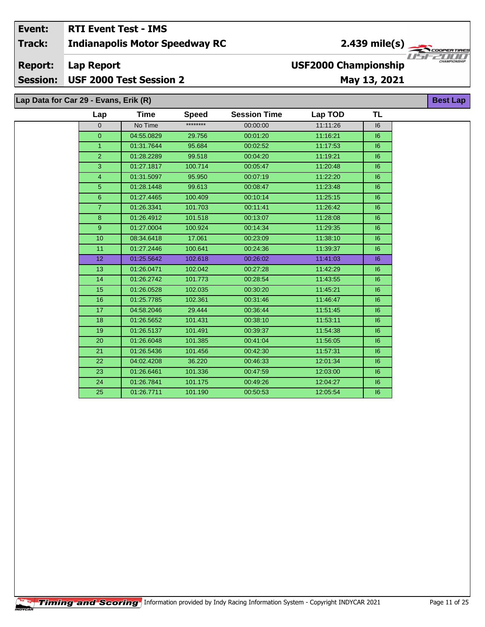#### Event: **RTI Event Test - IMS** 2.439 mile(s) **Indianapolis Motor Speedway RC Track: Lap Report Report: USF2000 Championship** USF 2000 Test Session 2 **Session:** May 13, 2021

Lap Data for Car 29 - Evans, Erik (R)

| Lap            | Time       | <b>Speed</b> | <b>Session Time</b> | Lap TOD  | <b>TL</b> |
|----------------|------------|--------------|---------------------|----------|-----------|
| $\overline{0}$ | No Time    | ********     | 00:00:00            | 11:11:26 | 16        |
| $\mathbf 0$    | 04:55.0829 | 29.756       | 00:01:20            | 11:16:21 | 16        |
| $\mathbf{1}$   | 01:31.7644 | 95.684       | 00:02:52            | 11:17:53 | 16        |
| $\overline{2}$ | 01:28.2289 | 99.518       | 00:04:20            | 11:19:21 | 16        |
| $\overline{3}$ | 01:27.1817 | 100.714      | 00:05:47            | 11:20:48 | 6         |
| $\overline{4}$ | 01:31.5097 | 95.950       | 00:07:19            | 11:22:20 | 16        |
| $\overline{5}$ | 01:28.1448 | 99.613       | 00:08:47            | 11:23:48 | 6         |
| $6\phantom{1}$ | 01:27.4465 | 100.409      | 00:10:14            | 11:25:15 | 16        |
| $\overline{7}$ | 01:26.3341 | 101.703      | 00:11:41            | 11:26:42 | 6         |
| 8              | 01:26.4912 | 101.518      | 00:13:07            | 11:28:08 | 16        |
| 9              | 01:27.0004 | 100.924      | 00:14:34            | 11:29:35 | 16        |
| 10             | 08:34.6418 | 17.061       | 00:23:09            | 11:38:10 | 16        |
| 11             | 01:27.2446 | 100.641      | 00:24:36            | 11:39:37 | 16        |
| 12             | 01:25.5642 | 102.618      | 00:26:02            | 11:41:03 | 6         |
| 13             | 01:26.0471 | 102.042      | 00:27:28            | 11:42:29 | 16        |
| 14             | 01:26.2742 | 101.773      | 00:28:54            | 11:43:55 | 16        |
| 15             | 01:26.0528 | 102.035      | 00:30:20            | 11:45:21 | 6         |
| 16             | 01:25.7785 | 102.361      | 00:31:46            | 11:46:47 | 6         |
| 17             | 04:58.2046 | 29.444       | 00:36:44            | 11:51:45 | 6         |
| 18             | 01:26.5652 | 101.431      | 00:38:10            | 11:53:11 | 6         |
| 19             | 01:26.5137 | 101.491      | 00:39:37            | 11:54:38 | 16        |
| 20             | 01:26.6048 | 101.385      | 00:41:04            | 11:56:05 | 16        |
| 21             | 01:26.5436 | 101.456      | 00:42:30            | 11:57:31 | 6         |
| 22             | 04:02.4208 | 36.220       | 00:46:33            | 12:01:34 | 6         |
| 23             | 01:26.6461 | 101.336      | 00:47:59            | 12:03:00 | 6         |
| 24             | 01:26.7841 | 101.175      | 00:49:26            | 12:04:27 | 16        |
| 25             | 01:26.7711 | 101.190      | 00:50:53            | 12:05:54 | 16        |
|                |            |              |                     |          |           |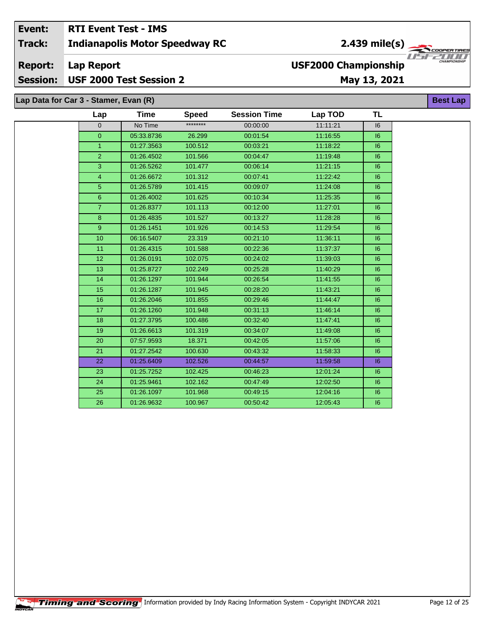#### Event: **RTI Event Test - IMS** 2.439 mile(s) **Indianapolis Motor Speedway RC Track:** USF **Report: Lap Report USF2000 Championship** USF 2000 Test Session 2 **Session:** May 13, 2021

| Lap Data for Car 3 - Stamer, Evan (R)<br><b>Best Lap</b> |                 |             |              |                     |          |           |  |  |  |  |
|----------------------------------------------------------|-----------------|-------------|--------------|---------------------|----------|-----------|--|--|--|--|
|                                                          | Lap             | <b>Time</b> | <b>Speed</b> | <b>Session Time</b> | Lap TOD  | <b>TL</b> |  |  |  |  |
|                                                          | 0               | No Time     | ********     | 00:00:00            | 11:11:21 | 16        |  |  |  |  |
|                                                          | $\overline{0}$  | 05:33.8736  | 26.299       | 00:01:54            | 11:16:55 | 16        |  |  |  |  |
|                                                          | $\mathbf{1}$    | 01:27.3563  | 100.512      | 00:03:21            | 11:18:22 | 16        |  |  |  |  |
|                                                          | $\overline{2}$  | 01:26.4502  | 101.566      | 00:04:47            | 11:19:48 | 16        |  |  |  |  |
|                                                          | 3               | 01:26.5262  | 101.477      | 00:06:14            | 11:21:15 | 16        |  |  |  |  |
|                                                          | 4               | 01:26.6672  | 101.312      | 00:07:41            | 11:22:42 | 16        |  |  |  |  |
|                                                          | $\overline{5}$  | 01:26.5789  | 101.415      | 00:09:07            | 11:24:08 | 16        |  |  |  |  |
|                                                          | 6               | 01:26.4002  | 101.625      | 00:10:34            | 11:25:35 | 6         |  |  |  |  |
|                                                          | $\overline{7}$  | 01:26.8377  | 101.113      | 00:12:00            | 11:27:01 | 16        |  |  |  |  |
|                                                          | 8               | 01:26.4835  | 101.527      | 00:13:27            | 11:28:28 | 6         |  |  |  |  |
|                                                          | 9               | 01:26.1451  | 101.926      | 00:14:53            | 11:29:54 | 16        |  |  |  |  |
|                                                          | 10 <sup>1</sup> | 06:16.5407  | 23.319       | 00:21:10            | 11:36:11 | 6         |  |  |  |  |
|                                                          | 11              | 01:26.4315  | 101.588      | 00:22:36            | 11:37:37 | 16        |  |  |  |  |
|                                                          | 12              | 01:26.0191  | 102.075      | 00:24:02            | 11:39:03 | 16        |  |  |  |  |
|                                                          | 13              | 01:25.8727  | 102.249      | 00:25:28            | 11:40:29 | 16        |  |  |  |  |
|                                                          | 14              | 01:26.1297  | 101.944      | 00:26:54            | 11:41:55 | 16        |  |  |  |  |
|                                                          | 15              | 01:26.1287  | 101.945      | 00:28:20            | 11:43:21 | 6         |  |  |  |  |
|                                                          | 16              | 01:26.2046  | 101.855      | 00:29:46            | 11:44:47 | 6         |  |  |  |  |
|                                                          | 17              | 01:26.1260  | 101.948      | 00:31:13            | 11:46:14 | 6         |  |  |  |  |
|                                                          | 18              | 01:27.3795  | 100.486      | 00:32:40            | 11:47:41 | 16        |  |  |  |  |
|                                                          | 19              | 01:26.6613  | 101.319      | 00:34:07            | 11:49:08 | 16        |  |  |  |  |
|                                                          | 20              | 07:57.9593  | 18.371       | 00:42:05            | 11:57:06 | 6         |  |  |  |  |
|                                                          | 21              | 01:27.2542  | 100.630      | 00:43:32            | 11:58:33 | 6         |  |  |  |  |
|                                                          | 22              | 01:25.6409  | 102.526      | 00:44:57            | 11:59:58 | 6         |  |  |  |  |
|                                                          | 23              | 01:25.7252  | 102.425      | 00:46:23            | 12:01:24 | 16        |  |  |  |  |
|                                                          | 24              | 01:25.9461  | 102.162      | 00:47:49            | 12:02:50 | 6         |  |  |  |  |
|                                                          | 25              | 01:26.1097  | 101.968      | 00:49:15            | 12:04:16 | 16        |  |  |  |  |
|                                                          | 26              | 01:26.9632  | 100.967      | 00:50:42            | 12:05:43 | 6         |  |  |  |  |

 $\bm{I}$   $\bm{I}$   $\bm{I}$   $\bm{I}$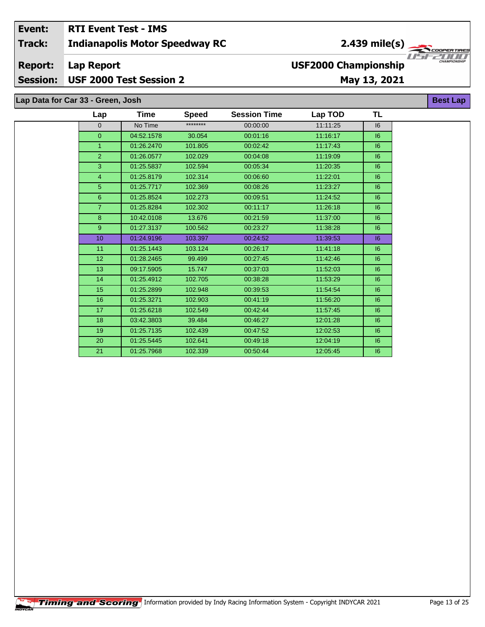## **Indianapolis Motor Speedway RC Lap Report May 13, 2021 Event: RTI Event Test - IMS Track: Report: Session: USF 2000 Test Session 2 USF2000 Championship** 2.439 mile(s)

**Lap Data for Car 33 - Green, Josh**

| Lap            | Time       | <b>Speed</b> | <b>Session Time</b> | Lap TOD  | TL |
|----------------|------------|--------------|---------------------|----------|----|
| $\mathbf{0}$   | No Time    | ********     | 00:00:00            | 11:11:25 | 16 |
| $\overline{0}$ | 04:52.1578 | 30.054       | 00:01:16            | 11:16:17 | 6  |
| $\mathbf{1}$   | 01:26.2470 | 101.805      | 00:02:42            | 11:17:43 | 6  |
| $\overline{2}$ | 01:26.0577 | 102.029      | 00:04:08            | 11:19:09 | 6  |
| 3              | 01:25.5837 | 102.594      | 00:05:34            | 11:20:35 | 6  |
| $\overline{4}$ | 01:25.8179 | 102.314      | 00:06:60            | 11:22:01 | 6  |
| 5 <sup>5</sup> | 01:25.7717 | 102.369      | 00:08:26            | 11:23:27 | 6  |
| $6\phantom{a}$ | 01:25.8524 | 102.273      | 00:09:51            | 11:24:52 | 6  |
| $\overline{7}$ | 01:25.8284 | 102.302      | 00:11:17            | 11:26:18 | 6  |
| 8              | 10:42.0108 | 13.676       | 00:21:59            | 11:37:00 | 6  |
| 9              | 01:27.3137 | 100.562      | 00:23:27            | 11:38:28 | 6  |
| 10             | 01:24.9196 | 103.397      | 00:24:52            | 11:39:53 | 6  |
| 11             | 01:25.1443 | 103.124      | 00:26:17            | 11:41:18 | 6  |
| 12             | 01:28.2465 | 99.499       | 00:27:45            | 11:42:46 | 6  |
| 13             | 09:17.5905 | 15.747       | 00:37:03            | 11:52:03 | 6  |
| 14             | 01:25.4912 | 102.705      | 00:38:28            | 11:53:29 | 6  |
| 15             | 01:25.2899 | 102.948      | 00:39:53            | 11:54:54 | 6  |
| 16             | 01:25.3271 | 102.903      | 00:41:19            | 11:56:20 | 6  |
| 17             | 01:25.6218 | 102.549      | 00:42:44            | 11:57:45 | 6  |
| 18             | 03:42.3803 | 39.484       | 00:46:27            | 12:01:28 | 6  |
| 19             | 01:25.7135 | 102.439      | 00:47:52            | 12:02:53 | 6  |
| 20             | 01:25.5445 | 102.641      | 00:49:18            | 12:04:19 | 6  |
| 21             | 01:25.7968 | 102.339      | 00:50:44            | 12:05:45 | 16 |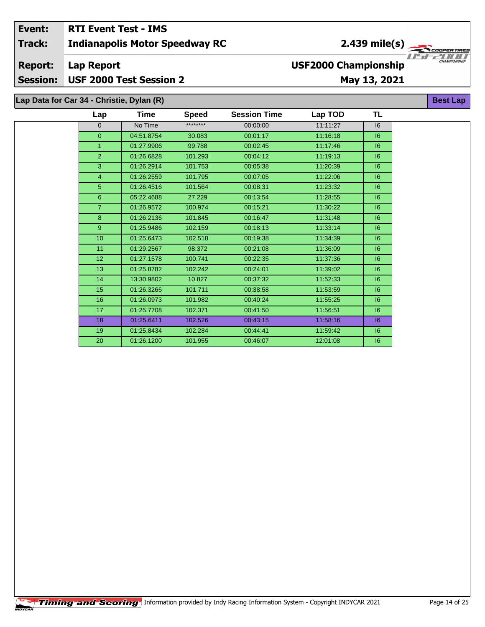## **Event: RTI Event Test - IMS 2.439 mile(s) Track: Indianapolis Motor Speedway RC** USF **USF2000 Championship Report: Lap Report Session: USF 2000 Test Session 2 May 13, 2021**

| Lap Data for Car 34 - Christie, Dylan (R) |             |              |                     |          |           | <b>Best Lap</b> |
|-------------------------------------------|-------------|--------------|---------------------|----------|-----------|-----------------|
| Lap                                       | <b>Time</b> | <b>Speed</b> | <b>Session Time</b> | Lap TOD  | <b>TL</b> |                 |
| $\overline{0}$                            | No Time     | ********     | 00:00:00            | 11:11:27 | 16        |                 |
| $\overline{0}$                            | 04:51.8754  | 30.083       | 00:01:17            | 11:16:18 | 6         |                 |
|                                           | 01:27.9906  | 99.788       | 00:02:45            | 11:17:46 | 6         |                 |
| $\overline{2}$                            | 01:26.6828  | 101.293      | 00:04:12            | 11:19:13 | 16        |                 |
| 3                                         | 01:26.2914  | 101.753      | 00:05:38            | 11:20:39 | 16        |                 |
| 4                                         | 01:26.2559  | 101.795      | 00:07:05            | 11:22:06 | 6         |                 |
| 5                                         | 01:26.4516  | 101.564      | 00:08:31            | 11:23:32 | 16        |                 |
| 6                                         | 05:22.4688  | 27.229       | 00:13:54            | 11:28:55 | 6         |                 |
| $\overline{7}$                            | 01:26.9572  | 100.974      | 00:15:21            | 11:30:22 | 16        |                 |
| 8                                         | 01:26.2136  | 101.845      | 00:16:47            | 11:31:48 | 16        |                 |
| 9                                         | 01:25.9486  | 102.159      | 00:18:13            | 11:33:14 | 6         |                 |
| 10 <sup>10</sup>                          | 01:25.6473  | 102.518      | 00:19:38            | 11:34:39 | 16        |                 |
| 11                                        | 01:29.2567  | 98.372       | 00:21:08            | 11:36:09 | 16        |                 |
| 12                                        | 01:27.1578  | 100.741      | 00:22:35            | 11:37:36 | 16        |                 |
| 13                                        | 01:25.8782  | 102.242      | 00:24:01            | 11:39:02 | 16        |                 |
| 14                                        | 13:30.9802  | 10.827       | 00:37:32            | 11:52:33 | 16        |                 |
| 15                                        | 01:26.3266  | 101.711      | 00:38:58            | 11:53:59 | 16        |                 |
| 16                                        | 01:26.0973  | 101.982      | 00:40:24            | 11:55:25 | 16        |                 |
| 17                                        | 01:25.7708  | 102.371      | 00:41:50            | 11:56:51 | 16        |                 |
| 18                                        | 01:25.6411  | 102.526      | 00:43:15            | 11:58:16 | 6         |                 |
| 19                                        | 01:25.8434  | 102.284      | 00:44:41            | 11:59:42 | 16        |                 |
| 20                                        | 01:26.1200  | 101.955      | 00:46:07            | 12:01:08 | 16        |                 |

ER TIR

 $\bm{I}$   $\bm{I}$   $\bm{I}$   $\bm{I}$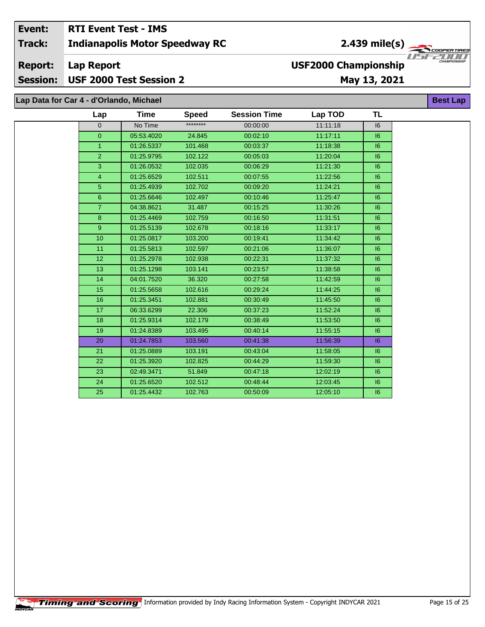#### Event: **RTI Event Test - IMS** 2.439 mile(s) **Indianapolis Motor Speedway RC Track: Report: Lap Report USF2000 Championship Session:** USF 2000 Test Session 2 May 13, 2021

#### Lap Data for Car 4 - d'Orlando, Michael **Time Session Time Speed** Lap \*\*\*\*\*\*\*\*  $00:00:00$  $\overline{0}$ No Time 05:53.4020  $00:02:10$  $\overline{0}$ 24.845

| $\mathbf{1}$   | 01:26.5337 | 101.468 | 00:03:37 | 11:18:38 | 16      |
|----------------|------------|---------|----------|----------|---------|
|                |            |         |          |          |         |
| $\overline{2}$ | 01:25.9795 | 102.122 | 00:05:03 | 11:20:04 | 6       |
| 3              | 01:26.0532 | 102.035 | 00:06:29 | 11:21:30 | 16      |
| $\overline{4}$ | 01:25.6529 | 102.511 | 00:07:55 | 11:22:56 | 6       |
| 5 <sup>5</sup> | 01:25.4939 | 102.702 | 00:09:20 | 11:24:21 | 16      |
| 6              | 01:25.6646 | 102.497 | 00:10:46 | 11:25:47 | 6       |
| $\overline{7}$ | 04:38.8621 | 31.487  | 00:15:25 | 11:30:26 | 16      |
| 8              | 01:25.4469 | 102.759 | 00:16:50 | 11:31:51 | 6       |
| 9              | 01:25.5139 | 102.678 | 00:18:16 | 11:33:17 | 16      |
| 10             | 01:25.0817 | 103.200 | 00:19:41 | 11:34:42 | $16 \,$ |
| 11             | 01:25.5813 | 102.597 | 00:21:06 | 11:36:07 | 16      |
| 12             | 01:25.2978 | 102.938 | 00:22:31 | 11:37:32 | $16 \,$ |
| 13             | 01:25.1298 | 103.141 | 00:23:57 | 11:38:58 | 6       |
| 14             | 04:01.7520 | 36.320  | 00:27:58 | 11:42:59 | 6       |
| 15             | 01:25.5658 | 102.616 | 00:29:24 | 11:44:25 | 6       |
| 16             | 01:25.3451 | 102.881 | 00:30:49 | 11:45:50 | 6       |
| 17             | 06:33.6299 | 22.306  | 00:37:23 | 11:52:24 | 6       |
| 18             | 01:25.9314 | 102.179 | 00:38:49 | 11:53:50 | 6       |
| 19             | 01:24.8389 | 103.495 | 00:40:14 | 11:55:15 | 6       |
| 20             | 01:24.7853 | 103.560 | 00:41:38 | 11:56:39 | 6       |
| 21             | 01:25.0889 | 103.191 | 00:43:04 | 11:58:05 | 6       |
| 22             | 01:25.3920 | 102.825 | 00:44:29 | 11:59:30 | 6       |
| 23             | 02:49.3471 | 51.849  | 00:47:18 | 12:02:19 | 16      |
| 24             | 01:25.6520 | 102.512 | 00:48:44 | 12:03:45 | $16 \,$ |
| 25             | 01:25.4432 | 102.763 | 00:50:09 | 12:05:10 | 16      |

**Best Lap** 

**TL** 

 $\overline{16}$ 

 $16$ 

**Lap TOD** 

11:11:18

 $11:17:11$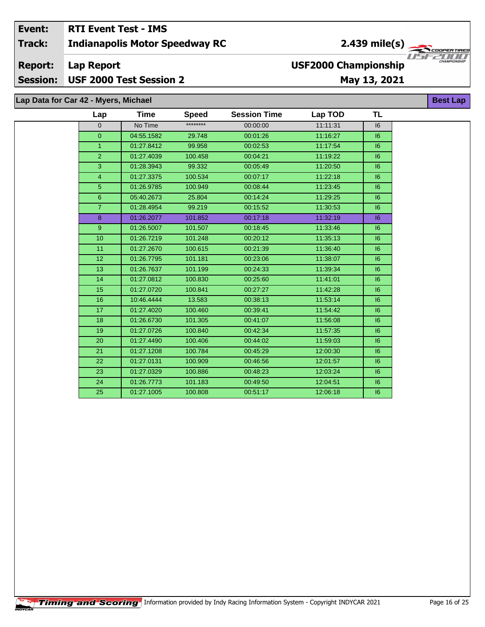#### Event: **RTI Event Test - IMS**  $\frac{2.439 \text{ mile(s)}}{\sqrt{1.57225 \text{ cm/s}}$ **Track: Indianapolis Motor Speedway RC Report: Lap Report USF2000 Championship Session:** USF 2000 Test Session 2 May 13, 2021

Lap Data for Car 42 - Myers, Michael

25

01:27.1005

#### **TL** Lap **Time Session Time Lap TOD Speed** \*\*\*\*\*\*\*\*  $\overline{0}$ No Time 00:00:00 11:11:31  $\overline{16}$  $\overline{0}$ 04:55.1582 29.748 00:01:26 11:16:27  $16$ 11:17:54  $\mathbf{1}$ 01:27.8412 99.958 00:02:53  $16$ 01:27.4039 100.458 11:19:22  $\overline{2}$ 00:04:21  $16$ 3 01:28.3943 99.332 00:05:49 11:20:50  $16$  $\overline{4}$ 01:27.3375 100.534  $00:07:17$  $11:22:18$  $\overline{16}$  $\overline{5}$ 100.949 00:08:44 11:23:45  $\overline{16}$ 01:26.9785  $\overline{6}$ 05:40.2673 25.804 00:14:24 11:29:25  $\overline{16}$  $\overline{7}$ 01:28.4954 99.219 00:15:52 11:30:53  $16$  $\overline{8}$ 01:26.2077 101.852 00:17:18 11:32:19  $\overline{16}$  $\overline{9}$ 01:26.5007 101.507 00:18:45 11:33:46  $\overline{16}$  $10$ 01:26.7219 101.248 00:20:12 11:35:13  $16$  $11$ 01:27.2670 100.615 00:21:39 11:36:40  $16$ 01:26.7795  $\overline{12}$ 101.181 00:23:06 11:38:07  $|6$  $13$ 01:26.7637 101.199 00:24:33 11:39:34  $16$  $14$ 01:27.0812 100.830 00:25:60 11:41:01  $16$  $15$ 01:27.0720 100.841 00:27:27 11:42:28  $|6$  $16$ 10:46.4444 13.583 00:38:13 11:53:14  $\overline{16}$  $\overline{17}$ 01:27.4020 100.460 00:39:41 11:54:42  $\overline{16}$  $\overline{18}$ 01:26.6730 101.305 00:41:07 11:56:08  $\overline{16}$  $\overline{19}$ 01:27.0726 100.840 00:42:34 11:57:35  $\overline{16}$ 20 01:27.4490 100.406 00:44:02 11:59:03  $|6$ 21 01:27.1208 100.784 00:45:29 12:00:30  $|6$  $\overline{22}$ 12:01:57 01:27.0131 100.909 00:46:56  $16$ 23 01:27.0329 100.886 00:48:23 12:03:24  $16$ 24 01:26.7773 101.183 00:49:50 12:04:51  $16$

100.808

00:51:17

12:06:18

 $16$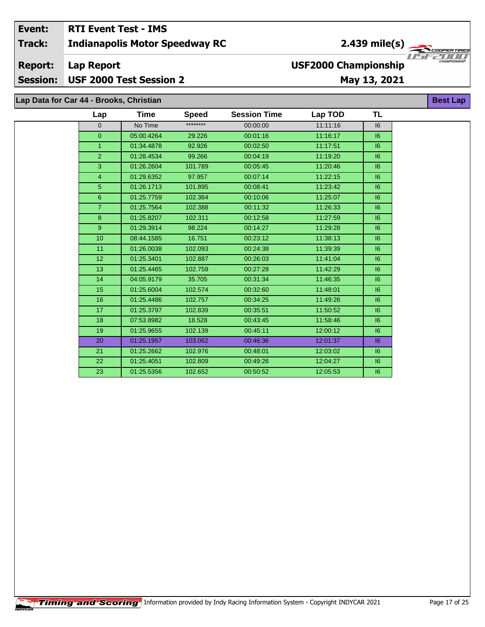#### **RTI Event Test - IMS** Event: 2.439 mile(s)  $\frac{1}{\sqrt{2\pi}}$ **Indianapolis Motor Speedway RC Track:** USF  $\left\langle \rule{0pt}{2.5pt}\right. \frac{}{\left\langle \rule{0pt}{2.5pt}\right. \frac{}{\left\langle \rule{0pt}{2.5pt}\right. \frac{}{\left\langle \rule{0pt}{2.5pt}\right. \frac{}{\left\langle \rule{0pt}{2.5pt}\right. \frac{}{\left\langle \rule{0pt}{2.5pt}\right. \frac{}{\left\langle \rule{0pt}{2.5pt}\right. \frac{}{\left\langle \rule{0pt}{2.5pt}\right. \frac{}{\left\langle \rule{0pt}{2.5pt}\right. \frac{}{\left\langle \rule{0pt}{2.5pt}\right. \frac{}{\left\langle \rule{0pt}{2.5pt}\right. \frac{}$ **Lap Report Report: USF2000 Championship** USF 2000 Test Session 2 May 13, 2021 **Session:** Lap Data for Car 44 - Brooks, Christian **Best Lap**

| Lap            | Time       | <b>Speed</b> | <b>Session Time</b> | Lap TOD  | <b>TL</b> |
|----------------|------------|--------------|---------------------|----------|-----------|
| $\overline{0}$ | No Time    | ********     | 00:00:00            | 11:11:16 | 16        |
| $\overline{0}$ | 05:00.4264 | 29.226       | 00:01:16            | 11:16:17 | 6         |
| $\mathbf{1}$   | 01:34.4878 | 92.926       | 00:02:50            | 11:17:51 | 6         |
| 2 <sup>1</sup> | 01:28.4534 | 99.266       | 00:04:19            | 11:19:20 | 6         |
| 3              | 01:26.2604 | 101.789      | 00:05:45            | 11:20:46 | 6         |
| $\overline{4}$ | 01:29.6352 | 97.957       | 00:07:14            | 11:22:15 | 6         |
| 5 <sup>5</sup> | 01:26.1713 | 101.895      | 00:08:41            | 11:23:42 | 6         |
| 6              | 01:25.7759 | 102.364      | 00:10:06            | 11:25:07 | 6         |
| $\overline{7}$ | 01:25.7564 | 102.388      | 00:11:32            | 11:26:33 | 6         |
| 8              | 01:25.8207 | 102.311      | 00:12:58            | 11:27:59 | 6         |
| 9              | 01:29.3914 | 98.224       | 00:14:27            | 11:29:28 | 6         |
| 10             | 08:44.1585 | 16.751       | 00:23:12            | 11:38:13 | 6         |
| 11             | 01:26.0038 | 102.093      | 00:24:38            | 11:39:39 | 6         |
| 12             | 01:25.3401 | 102.887      | 00:26:03            | 11:41:04 | 6         |
| 13             | 01:25.4465 | 102.759      | 00:27:28            | 11:42:29 | 6         |
| 14             | 04:05.9179 | 35.705       | 00:31:34            | 11:46:35 | 6         |
| 15             | 01:25.6004 | 102.574      | 00:32:60            | 11:48:01 | 6         |
| 16             | 01:25.4486 | 102.757      | 00:34:25            | 11:49:26 | 6         |
| 17             | 01:25.3797 | 102.839      | 00:35:51            | 11:50:52 | 6         |
| 18             | 07:53.8982 | 18.528       | 00:43:45            | 11:58:46 | 6         |
| 19             | 01:25.9655 | 102.139      | 00:45:11            | 12:00:12 | 16        |
| 20             | 01:25.1957 | 103.062      | 00:46:36            | 12:01:37 | 6         |
| 21             | 01:25.2662 | 102.976      | 00:48:01            | 12:03:02 | 6         |
| 22             | 01:25.4051 | 102.809      | 00:49:26            | 12:04:27 | 6         |
| 23             | 01:25.5356 | 102.652      | 00:50:52            | 12:05:53 | 6         |

'ER TIR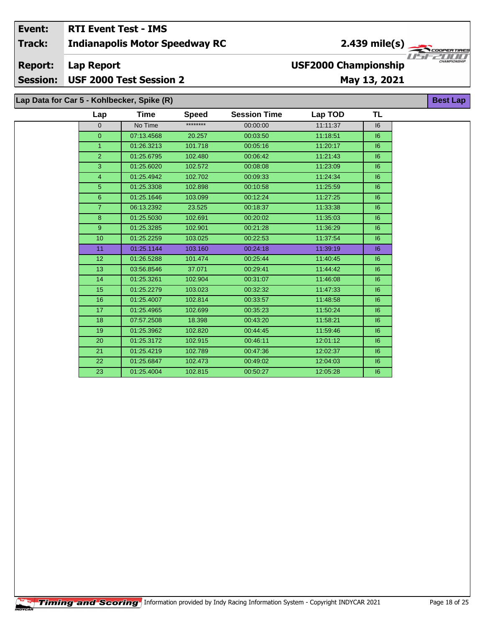#### Event: **RTI Event Test - IMS**  $2.439$  mile(s) **Indianapolis Motor Speedway RC Track:** 'ER TIR USFZULL **Report: Lap Report USF2000 Championship** USF 2000 Test Session 2 **Session:** May 13, 2021 Lap Data for Car 5 - Kohlbecker, Spike (R) **Best Lap**

| Lap             | Time       | <b>Speed</b> | <b>Session Time</b> | Lap TOD  | TL |
|-----------------|------------|--------------|---------------------|----------|----|
| $\Omega$        | No Time    | ********     | 00:00:00            | 11:11:37 | 16 |
| $\overline{0}$  | 07:13.4568 | 20.257       | 00:03:50            | 11:18:51 | 16 |
| $\mathbf{1}$    | 01:26.3213 | 101.718      | 00:05:16            | 11:20:17 | 16 |
| $\overline{2}$  | 01:25.6795 | 102.480      | 00:06:42            | 11:21:43 | 16 |
| 3               | 01:25.6020 | 102.572      | 00:08:08            | 11:23:09 | 6  |
| $\overline{4}$  | 01:25.4942 | 102.702      | 00:09:33            | 11:24:34 | 16 |
| 5 <sup>5</sup>  | 01:25.3308 | 102.898      | 00:10:58            | 11:25:59 | 6  |
| $\,6\,$         | 01:25.1646 | 103.099      | 00:12:24            | 11:27:25 | 6  |
| $\overline{7}$  | 06:13.2392 | 23.525       | 00:18:37            | 11:33:38 | 6  |
| 8               | 01:25.5030 | 102.691      | 00:20:02            | 11:35:03 | 16 |
| 9               | 01:25.3285 | 102.901      | 00:21:28            | 11:36:29 | 16 |
| 10              | 01:25.2259 | 103.025      | 00:22:53            | 11:37:54 | 6  |
| 11              | 01:25.1144 | 103.160      | 00:24:18            | 11:39:19 | 16 |
| 12 <sub>2</sub> | 01:26.5288 | 101.474      | 00:25:44            | 11:40:45 | 6  |
| 13              | 03:56.8546 | 37.071       | 00:29:41            | 11:44:42 | 16 |
| 14              | 01:25.3261 | 102.904      | 00:31:07            | 11:46:08 | 6  |
| 15              | 01:25.2279 | 103.023      | 00:32:32            | 11:47:33 | 6  |
| 16              | 01:25.4007 | 102.814      | 00:33:57            | 11:48:58 | 6  |
| 17              | 01:25.4965 | 102.699      | 00:35:23            | 11:50:24 | 16 |
| 18              | 07:57.2508 | 18.398       | 00:43:20            | 11:58:21 | 16 |
| 19              | 01:25.3962 | 102.820      | 00:44:45            | 11:59:46 | 16 |
| 20              | 01:25.3172 | 102.915      | 00:46:11            | 12:01:12 | 16 |
| 21              | 01:25.4219 | 102.789      | 00:47:36            | 12:02:37 | 6  |
| 22              | 01:25.6847 | 102.473      | 00:49:02            | 12:04:03 | 16 |
| 23              | 01:25.4004 | 102.815      | 00:50:27            | 12:05:28 | 16 |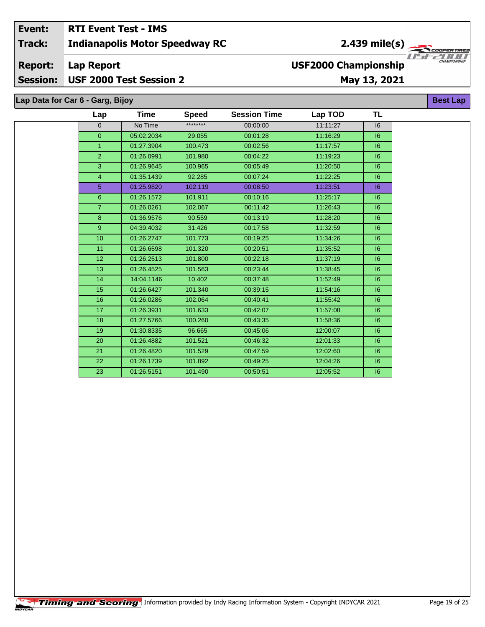## Event: **RTI Event Test - IMS Indianapolis Motor Speedway RC Track:**

#### **Report: Lap Report**

Session: USF 2000 Test Session 2

# May 13, 2021

Lap Data for Car 6 - Garg, Bijoy

| Lap             | Time       | <b>Speed</b> | <b>Session Time</b> | Lap TOD  | TL |  |
|-----------------|------------|--------------|---------------------|----------|----|--|
| $\overline{0}$  | No Time    | ********     | 00:00:00            | 11:11:27 | 16 |  |
| $\overline{0}$  | 05:02.2034 | 29.055       | 00:01:28            | 11:16:29 | 6  |  |
| $\mathbf{1}$    | 01:27.3904 | 100.473      | 00:02:56            | 11:17:57 | 6  |  |
| $\overline{2}$  | 01:26.0991 | 101.980      | 00:04:22            | 11:19:23 | 6  |  |
| $\overline{3}$  | 01:26.9645 | 100.965      | 00:05:49            | 11:20:50 | 6  |  |
| $\overline{4}$  | 01:35.1439 | 92.285       | 00:07:24            | 11:22:25 | 6  |  |
| 5               | 01:25.9820 | 102.119      | 00:08:50            | 11:23:51 | 6  |  |
| $\,6\,$         | 01:26.1572 | 101.911      | 00:10:16            | 11:25:17 | 6  |  |
| $\overline{7}$  | 01:26.0261 | 102.067      | 00:11:42            | 11:26:43 | 6  |  |
| $\bf 8$         | 01:36.9576 | 90.559       | 00:13:19            | 11:28:20 | 6  |  |
| $\overline{9}$  | 04:39.4032 | 31.426       | 00:17:58            | 11:32:59 | 6  |  |
| 10              | 01:26.2747 | 101.773      | 00:19:25            | 11:34:26 | 6  |  |
| 11              | 01:26.6598 | 101.320      | 00:20:51            | 11:35:52 | 6  |  |
| 12 <sup>2</sup> | 01:26.2513 | 101.800      | 00:22:18            | 11:37:19 | 6  |  |
| 13              | 01:26.4525 | 101.563      | 00:23:44            | 11:38:45 | 6  |  |
| 14              | 14:04.1146 | 10.402       | 00:37:48            | 11:52:49 | 6  |  |
| 15              | 01:26.6427 | 101.340      | 00:39:15            | 11:54:16 | 6  |  |
| 16              | 01:26.0286 | 102.064      | 00:40:41            | 11:55:42 | 6  |  |
| 17              | 01:26.3931 | 101.633      | 00:42:07            | 11:57:08 | 6  |  |
| 18              | 01:27.5766 | 100.260      | 00:43:35            | 11:58:36 | 6  |  |
| 19              | 01:30.8335 | 96.665       | 00:45:06            | 12:00:07 | 6  |  |
| 20              | 01:26.4882 | 101.521      | 00:46:32            | 12:01:33 | 6  |  |
| 21              | 01:26.4820 | 101.529      | 00:47:59            | 12:02:60 | 6  |  |
| 22              | 01:26.1739 | 101.892      | 00:49:25            | 12:04:26 | 6  |  |
| 23              | 01:26.5151 | 101.490      | 00:50:51            | 12:05:52 | 16 |  |



**Best Lap** 

**USF2000 Championship**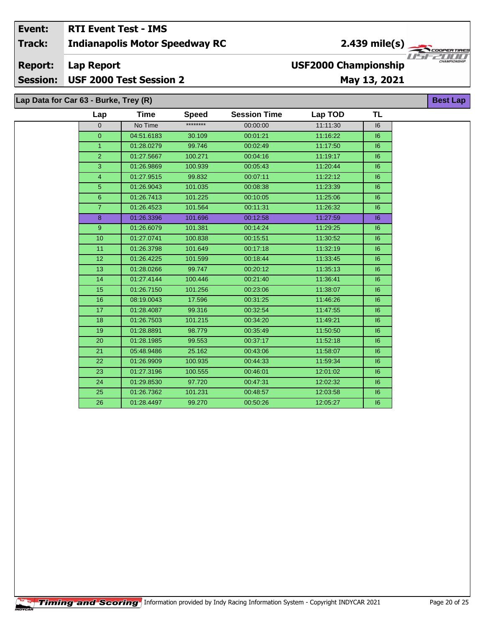#### Event: **RTI Event Test - IMS** 2.439 mile(s)  $\frac{1}{\sqrt{2\pi}}$ **Indianapolis Motor Speedway RC Track:** U S F **Lap Report Report: USF2000 Championship** Session: USF 2000 Test Session 2 May 13, 2021

| Lap Data for Car 63 - Burke, Trey (R) |                 |            |              |                     |          |           |  |
|---------------------------------------|-----------------|------------|--------------|---------------------|----------|-----------|--|
|                                       | Lap             | Time       | <b>Speed</b> | <b>Session Time</b> | Lap TOD  | <b>TL</b> |  |
|                                       | 0               | No Time    | ********     | 00:00:00            | 11:11:30 | 16        |  |
|                                       | $\overline{0}$  | 04:51.6183 | 30.109       | 00:01:21            | 11:16:22 | 6         |  |
|                                       | $\mathbf{1}$    | 01:28.0279 | 99.746       | 00:02:49            | 11:17:50 | 6         |  |
|                                       | $\overline{2}$  | 01:27.5667 | 100.271      | 00:04:16            | 11:19:17 | 6         |  |
|                                       | $\overline{3}$  | 01:26.9869 | 100.939      | 00:05:43            | 11:20:44 | 6         |  |
|                                       | 4               | 01:27.9515 | 99.832       | 00:07:11            | 11:22:12 | 6         |  |
|                                       | $\overline{5}$  | 01:26.9043 | 101.035      | 00:08:38            | 11:23:39 | 6         |  |
|                                       | $6\phantom{1}$  | 01:26.7413 | 101.225      | 00:10:05            | 11:25:06 | 6         |  |
|                                       | $\mathbf{7}$    | 01:26.4523 | 101.564      | 00:11:31            | 11:26:32 | 6         |  |
|                                       | $\bf8$          | 01:26.3396 | 101.696      | 00:12:58            | 11:27:59 | 6         |  |
|                                       | $9\,$           | 01:26.6079 | 101.381      | 00:14:24            | 11:29:25 | 16        |  |
|                                       | 10              | 01:27.0741 | 100.838      | 00:15:51            | 11:30:52 | 16        |  |
|                                       | 11              | 01:26.3798 | 101.649      | 00:17:18            | 11:32:19 | 6         |  |
|                                       | 12 <sub>2</sub> | 01:26.4225 | 101.599      | 00:18:44            | 11:33:45 | 6         |  |
|                                       | 13              | 01:28.0266 | 99.747       | 00:20:12            | 11:35:13 | 6         |  |
|                                       | 14              | 01:27.4144 | 100.446      | 00:21:40            | 11:36:41 | 6         |  |
|                                       | 15              | 01:26.7150 | 101.256      | 00:23:06            | 11:38:07 | 16        |  |
|                                       | 16              | 08:19.0043 | 17.596       | 00:31:25            | 11:46:26 | 6         |  |
|                                       | 17              | 01:28.4087 | 99.316       | 00:32:54            | 11:47:55 | 6         |  |
|                                       | 18              | 01:26.7503 | 101.215      | 00:34:20            | 11:49:21 | 6         |  |
|                                       | 19              | 01:28.8891 | 98.779       | 00:35:49            | 11:50:50 | 6         |  |
|                                       | 20              | 01:28.1985 | 99.553       | 00:37:17            | 11:52:18 | 6         |  |
|                                       | 21              | 05:48.9486 | 25.162       | 00:43:06            | 11:58:07 | 6         |  |
|                                       | 22              | 01:26.9909 | 100.935      | 00:44:33            | 11:59:34 | 6         |  |
|                                       | 23              | 01:27.3196 | 100.555      | 00:46:01            | 12:01:02 | 6         |  |
|                                       | 24              | 01:29.8530 | 97.720       | 00:47:31            | 12:02:32 | 6         |  |
|                                       | 25              | 01:26.7362 | 101.231      | 00:48:57            | 12:03:58 | 6         |  |
|                                       | 26              | 01:28.4497 | 99.270       | 00:50:26            | 12:05:27 | 16        |  |

7000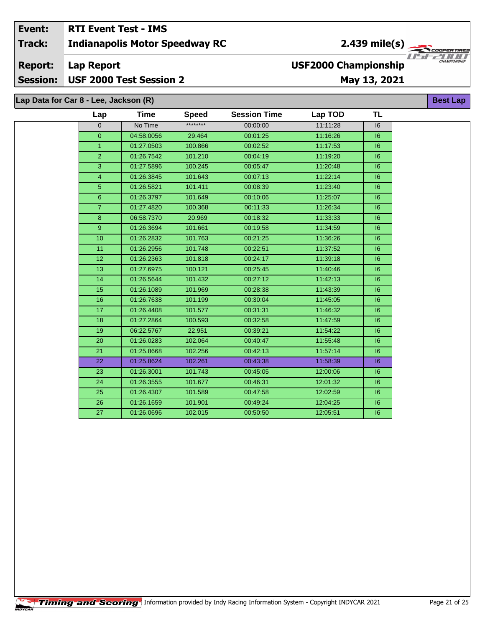#### Event: **RTI Event Test - IMS**  $2.439$  mile(s) **Indianapolis Motor Speedway RC Track:** ER TIR USFZUU **Report: Lap Report USF2000 Championship Session:** USF 2000 Test Session 2 May 13, 2021 Lap Data for Car 8 - Lee, Jackson (R) **Best Lap**

| Lap            | Time       | <b>Speed</b> | <b>Session Time</b> | Lap TOD  | TL |
|----------------|------------|--------------|---------------------|----------|----|
| $\Omega$       | No Time    | ********     | 00:00:00            | 11:11:28 | 16 |
| $\overline{0}$ | 04:58.0056 | 29.464       | 00:01:25            | 11:16:26 | 6  |
| $\mathbf{1}$   | 01:27.0503 | 100.866      | 00:02:52            | 11:17:53 | 6  |
| $\overline{2}$ | 01:26.7542 | 101.210      | 00:04:19            | 11:19:20 | 6  |
| 3              | 01:27.5896 | 100.245      | 00:05:47            | 11:20:48 | 6  |
| $\overline{4}$ | 01:26.3845 | 101.643      | 00:07:13            | 11:22:14 | 6  |
| 5 <sup>5</sup> | 01:26.5821 | 101.411      | 00:08:39            | 11:23:40 | 6  |
| 6              | 01:26.3797 | 101.649      | 00:10:06            | 11:25:07 | 6  |
| $\overline{7}$ | 01:27.4820 | 100.368      | 00:11:33            | 11:26:34 | 16 |
| $\bf{8}$       | 06:58.7370 | 20.969       | 00:18:32            | 11:33:33 | 6  |
| $\overline{9}$ | 01:26.3694 | 101.661      | 00:19:58            | 11:34:59 | 6  |
| 10             | 01:26.2832 | 101.763      | 00:21:25            | 11:36:26 | 6  |
| 11             | 01:26.2956 | 101.748      | 00:22:51            | 11:37:52 | 16 |
| 12             | 01:26.2363 | 101.818      | 00:24:17            | 11:39:18 | 6  |
| 13             | 01:27.6975 | 100.121      | 00:25:45            | 11:40:46 | 6  |
| 14             | 01:26.5644 | 101.432      | 00:27:12            | 11:42:13 | 6  |
| 15             | 01:26.1089 | 101.969      | 00:28:38            | 11:43:39 | 6  |
| 16             | 01:26.7638 | 101.199      | 00:30:04            | 11:45:05 | 6  |
| 17             | 01:26.4408 | 101.577      | 00:31:31            | 11:46:32 | 6  |
| 18             | 01:27.2864 | 100.593      | 00:32:58            | 11:47:59 | 6  |
| 19             | 06:22.5767 | 22.951       | 00:39:21            | 11:54:22 | 6  |
| 20             | 01:26.0283 | 102.064      | 00:40:47            | 11:55:48 | 6  |
| 21             | 01:25.8668 | 102.256      | 00:42:13            | 11:57:14 | 6  |
| 22             | 01:25.8624 | 102.261      | 00:43:38            | 11:58:39 | 6  |
| 23             | 01:26.3001 | 101.743      | 00:45:05            | 12:00:06 | 16 |
| 24             | 01:26.3555 | 101.677      | 00:46:31            | 12:01:32 | 6  |
| 25             | 01:26.4307 | 101.589      | 00:47:58            | 12:02:59 | 16 |
| 26             | 01:26.1659 | 101.901      | 00:49:24            | 12:04:25 | 6  |
| 27             | 01:26.0696 | 102.015      | 00:50:50            | 12:05:51 | 6  |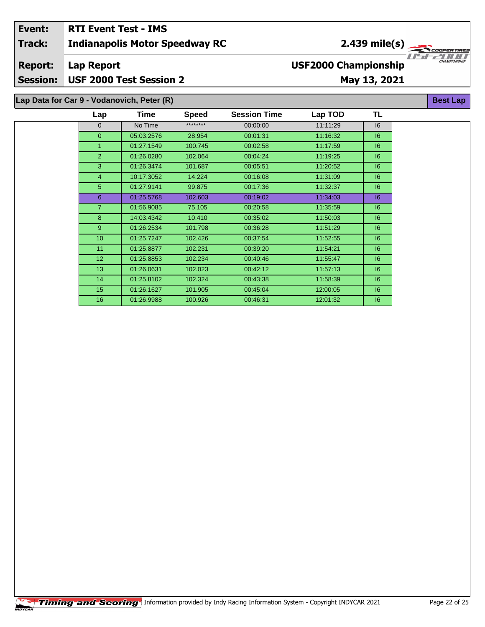| Event:         | <b>RTI Event Test - IMS</b>                |                             |                                     |
|----------------|--------------------------------------------|-----------------------------|-------------------------------------|
| <b>Track:</b>  | <b>Indianapolis Motor Speedway RC</b>      | $2.439$ mile(s)             |                                     |
| <b>Report:</b> | Lap Report                                 | <b>USF2000 Championship</b> | 115122111111<br><b>CHAMPIONSHIP</b> |
|                | Session: USF 2000 Test Session 2           | May 13, 2021                |                                     |
|                |                                            |                             |                                     |
|                | Lap Data for Car 9 - Vodanovich, Peter (R) |                             | <b>Best Lap</b>                     |

| Lap              | Time       | <b>Speed</b> | <b>Session Time</b> | Lap TOD  | TL      |
|------------------|------------|--------------|---------------------|----------|---------|
| $\mathbf{0}$     | No Time    | ********     | 00:00:00            | 11:11:29 | 16      |
| $\Omega$         | 05:03.2576 | 28.954       | 00:01:31            | 11:16:32 | 16      |
| $\mathbf{1}$     | 01:27.1549 | 100.745      | 00:02:58            | 11:17:59 | 6       |
| $\overline{2}$   | 01:26.0280 | 102.064      | 00:04:24            | 11:19:25 | 6       |
| 3                | 01:26.3474 | 101.687      | 00:05:51            | 11:20:52 | 6       |
| $\overline{4}$   | 10:17.3052 | 14.224       | 00:16:08            | 11:31:09 | 6       |
| 5 <sup>5</sup>   | 01:27.9141 | 99.875       | 00:17:36            | 11:32:37 | 6       |
| 6                | 01:25.5768 | 102.603      | 00:19:02            | 11:34:03 | 16      |
| $\overline{7}$   | 01:56.9085 | 75.105       | 00:20:58            | 11:35:59 | 6       |
| 8                | 14:03.4342 | 10.410       | 00:35:02            | 11:50:03 | 6       |
| 9 <sup>°</sup>   | 01:26.2534 | 101.798      | 00:36:28            | 11:51:29 | 6       |
| 10 <sup>1</sup>  | 01:25.7247 | 102.426      | 00:37:54            | 11:52:55 | 6       |
| 11               | 01:25.8877 | 102.231      | 00:39:20            | 11:54:21 | 6       |
| 12 <sup>2</sup>  | 01:25.8853 | 102.234      | 00:40:46            | 11:55:47 | 6       |
| 13 <sub>1</sub>  | 01:26.0631 | 102.023      | 00:42:12            | 11:57:13 | 6       |
| 14               | 01:25.8102 | 102.324      | 00:43:38            | 11:58:39 | 6       |
| 15 <sub>15</sub> | 01:26.1627 | 101.905      | 00:45:04            | 12:00:05 | $16 \,$ |
| 16               | 01:26.9988 | 100.926      | 00:46:31            | 12:01:32 | 6       |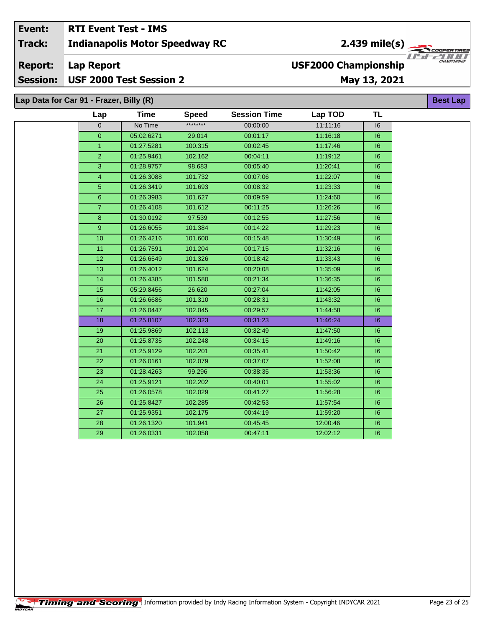#### Event: **RTI Event Test - IMS** 2.439 mile(s)  $\frac{1}{\sqrt{2\pi}}$ **Track: Indianapolis Motor Speedway RC** USF **USF2000 Championship Report: Lap Report** USF 2000 Test Session 2 **Session:** May 13, 2021

| Lap Data for Car 91 - Frazer, Billy (R) |                |             |              |                     |          |    | <b>Best La</b> |
|-----------------------------------------|----------------|-------------|--------------|---------------------|----------|----|----------------|
|                                         | Lap            | <b>Time</b> | <b>Speed</b> | <b>Session Time</b> | Lap TOD  | TL |                |
|                                         | $\overline{0}$ | No Time     | ********     | 00:00:00            | 11:11:16 | 16 |                |
|                                         | $\overline{0}$ | 05:02.6271  | 29.014       | 00:01:17            | 11:16:18 | 6  |                |
|                                         | $\mathbf{1}$   | 01:27.5281  | 100.315      | 00:02:45            | 11:17:46 | 16 |                |
|                                         | $\overline{2}$ | 01:25.9461  | 102.162      | 00:04:11            | 11:19:12 | 16 |                |
|                                         | 3              | 01:28.9757  | 98.683       | 00:05:40            | 11:20:41 | 6  |                |
|                                         | $\overline{4}$ | 01:26.3088  | 101.732      | 00:07:06            | 11:22:07 | 6  |                |
|                                         | $\overline{5}$ | 01:26.3419  | 101.693      | 00:08:32            | 11:23:33 | 6  |                |
|                                         | $6\phantom{a}$ | 01:26.3983  | 101.627      | 00:09:59            | 11:24:60 | 6  |                |
|                                         | $\overline{7}$ | 01:26.4108  | 101.612      | 00:11:25            | 11:26:26 | 6  |                |
|                                         | 8              | 01:30.0192  | 97.539       | 00:12:55            | 11:27:56 | 6  |                |
|                                         | 9              | 01:26.6055  | 101.384      | 00:14:22            | 11:29:23 | 6  |                |
|                                         | 10             | 01:26.4216  | 101.600      | 00:15:48            | 11:30:49 | 6  |                |
|                                         | 11             | 01:26.7591  | 101.204      | 00:17:15            | 11:32:16 | 6  |                |
|                                         | 12             | 01:26.6549  | 101.326      | 00:18:42            | 11:33:43 | 6  |                |
|                                         | 13             | 01:26.4012  | 101.624      | 00:20:08            | 11:35:09 | 6  |                |
|                                         | 14             | 01:26.4385  | 101.580      | 00:21:34            | 11:36:35 | 6  |                |
|                                         | 15             | 05:29.8456  | 26.620       | 00:27:04            | 11:42:05 | 16 |                |
|                                         | 16             | 01:26.6686  | 101.310      | 00:28:31            | 11:43:32 | 6  |                |
|                                         | 17             | 01:26.0447  | 102.045      | 00:29:57            | 11:44:58 | 6  |                |
|                                         | 18             | 01:25.8107  | 102.323      | 00:31:23            | 11:46:24 | 6  |                |
|                                         | 19             | 01:25.9869  | 102.113      | 00:32:49            | 11:47:50 | 16 |                |
|                                         | 20             | 01:25.8735  | 102.248      | 00:34:15            | 11:49:16 | 6  |                |
|                                         | 21             | 01:25.9129  | 102.201      | 00:35:41            | 11:50:42 | 6  |                |
|                                         | 22             | 01:26.0161  | 102.079      | 00:37:07            | 11:52:08 | 6  |                |
|                                         | 23             | 01:28.4263  | 99.296       | 00:38:35            | 11:53:36 | 6  |                |
|                                         | 24             | 01:25.9121  | 102.202      | 00:40:01            | 11:55:02 | 6  |                |
|                                         | 25             | 01:26.0578  | 102.029      | 00:41:27            | 11:56:28 | 6  |                |
|                                         | 26             | 01:25.8427  | 102.285      | 00:42:53            | 11:57:54 | 6  |                |
|                                         | 27             | 01:25.9351  | 102.175      | 00:44:19            | 11:59:20 | 16 |                |
|                                         | 28             | 01:26.1320  | 101.941      | 00:45:45            | 12:00:46 | 16 |                |
|                                         | 29             | 01:26.0331  | 102.058      | 00:47:11            | 12:02:12 | 6  |                |

ER TIR

 $\sqrt{I/I/I}$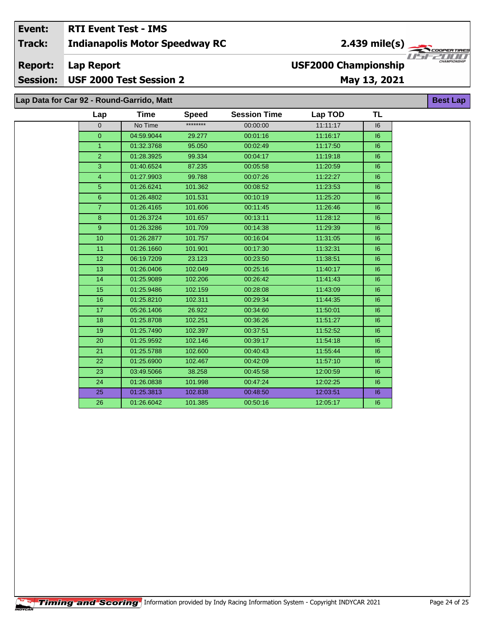#### Event: **RTI Event Test - IMS** 2.439 mile(s) **Indianapolis Motor Speedway RC Track: Lap Report Report: USF2000 Championship** USF 2000 Test Session 2 **Session:** May 13, 2021 Lap Data for Car 92 - Round-Garrido, Matt **Best Lap**

| Lap             | <b>Time</b> | <b>Speed</b> | <b>Session Time</b> | Lap TOD  | TL |
|-----------------|-------------|--------------|---------------------|----------|----|
| $\overline{0}$  | No Time     | ********     | 00:00:00            | 11:11:17 | 6  |
| $\overline{0}$  | 04:59.9044  | 29.277       | 00:01:16            | 11:16:17 | 6  |
| $\mathbf{1}$    | 01:32.3768  | 95.050       | 00:02:49            | 11:17:50 | 6  |
| $\overline{2}$  | 01:28.3925  | 99.334       | 00:04:17            | 11:19:18 | 16 |
| $\overline{3}$  | 01:40.6524  | 87.235       | 00:05:58            | 11:20:59 | 6  |
| $\overline{4}$  | 01:27.9903  | 99.788       | 00:07:26            | 11:22:27 | 6  |
| 5               | 01:26.6241  | 101.362      | 00:08:52            | 11:23:53 | 6  |
| $\,6\,$         | 01:26.4802  | 101.531      | 00:10:19            | 11:25:20 | 16 |
| $\overline{7}$  | 01:26.4165  | 101.606      | 00:11:45            | 11:26:46 | 6  |
| 8               | 01:26.3724  | 101.657      | 00:13:11            | 11:28:12 | 6  |
| 9               | 01:26.3286  | 101.709      | 00:14:38            | 11:29:39 | 6  |
| 10              | 01:26.2877  | 101.757      | 00:16:04            | 11:31:05 | 16 |
| 11              | 01:26.1660  | 101.901      | 00:17:30            | 11:32:31 | 16 |
| 12 <sup>°</sup> | 06:19.7209  | 23.123       | 00:23:50            | 11:38:51 | 16 |
| 13              | 01:26.0406  | 102.049      | 00:25:16            | 11:40:17 | 6  |
| 14              | 01:25.9089  | 102.206      | 00:26:42            | 11:41:43 | 16 |
| 15              | 01:25.9486  | 102.159      | 00:28:08            | 11:43:09 | 6  |
| 16              | 01:25.8210  | 102.311      | 00:29:34            | 11:44:35 | 16 |
| 17              | 05:26.1406  | 26.922       | 00:34:60            | 11:50:01 | 6  |
| 18              | 01:25.8708  | 102.251      | 00:36:26            | 11:51:27 | 6  |
| 19              | 01:25.7490  | 102.397      | 00:37:51            | 11:52:52 | 6  |
| 20              | 01:25.9592  | 102.146      | 00:39:17            | 11:54:18 | 6  |
| 21              | 01:25.5788  | 102.600      | 00:40:43            | 11:55:44 | 6  |
| 22              | 01:25.6900  | 102.467      | 00:42:09            | 11:57:10 | 6  |
| 23              | 03:49.5066  | 38.258       | 00:45:58            | 12:00:59 | 6  |
| 24              | 01:26.0838  | 101.998      | 00:47:24            | 12:02:25 | 6  |
| 25              | 01:25.3813  | 102.838      | 00:48:50            | 12:03:51 | 16 |
| 26              | 01:26.6042  | 101.385      | 00:50:16            | 12:05:17 | 6  |